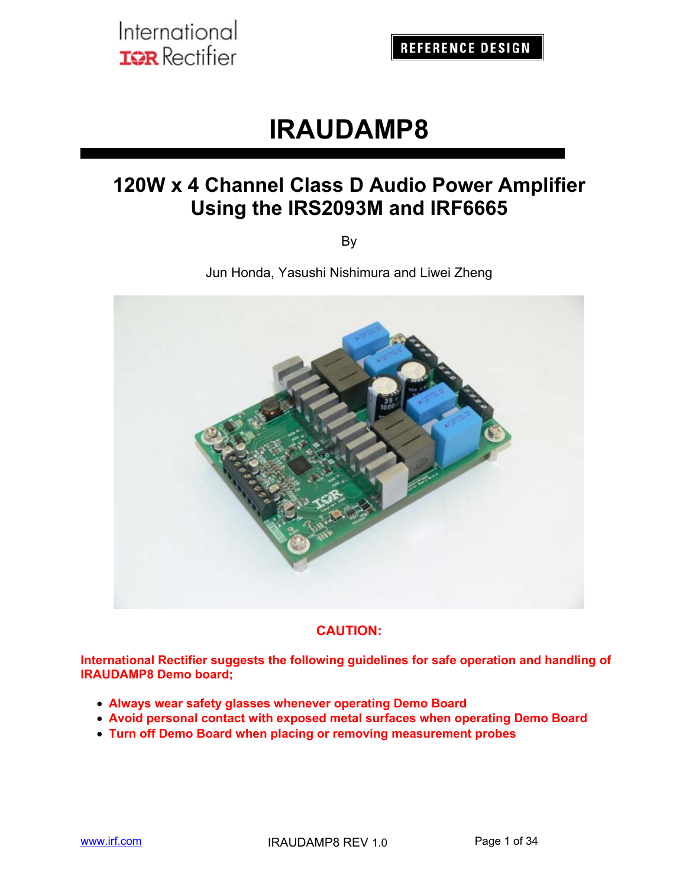# **IRAUDAMP8**

## **120W x 4 Channel Class D Audio Power Amplifier Using the IRS2093M and IRF6665**

By

Jun Honda, Yasushi Nishimura and Liwei Zheng



### **CAUTION:**

**International Rectifier suggests the following guidelines for safe operation and handling of IRAUDAMP8 Demo board;** 

- **Always wear safety glasses whenever operating Demo Board**
- **Avoid personal contact with exposed metal surfaces when operating Demo Board**
- **Turn off Demo Board when placing or removing measurement probes**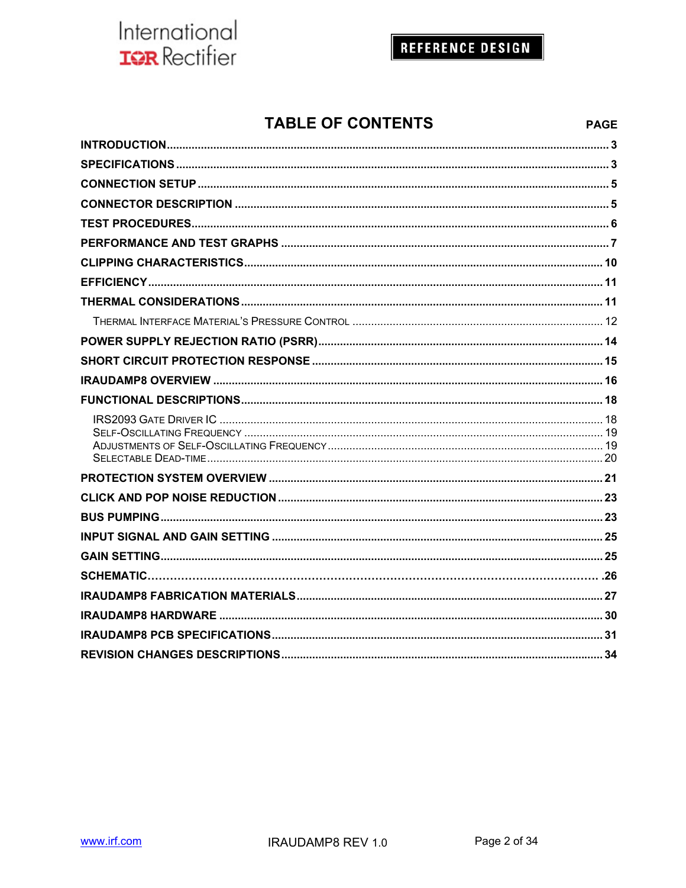## **REFERENCE DESIGN**

## **TABLE OF CONTENTS**

| <b>TABLE OF CONTENTS</b> | <b>PAGE</b> |
|--------------------------|-------------|
|                          |             |
|                          |             |
|                          |             |
|                          |             |
|                          |             |
|                          |             |
|                          |             |
|                          |             |
|                          |             |
|                          |             |
|                          |             |
|                          |             |
|                          |             |
|                          |             |
|                          |             |
|                          |             |
|                          |             |
|                          |             |
|                          |             |
|                          |             |
|                          |             |
|                          |             |
|                          |             |
|                          |             |
|                          | 34          |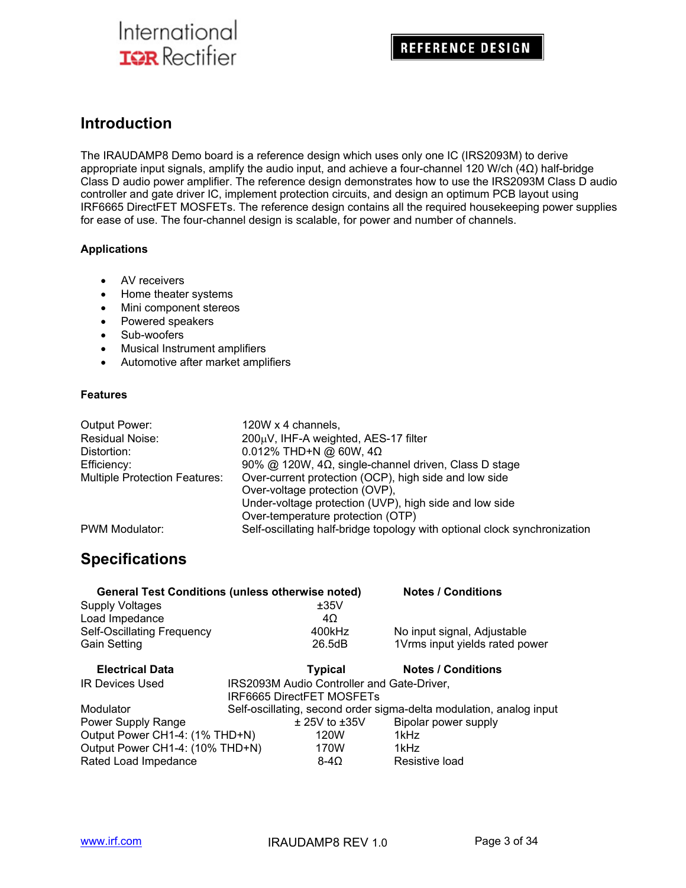### **Introduction**

The IRAUDAMP8 Demo board is a reference design which uses only one IC (IRS2093M) to derive appropriate input signals, amplify the audio input, and achieve a four-channel 120 W/ch (4Ω) half-bridge Class D audio power amplifier. The reference design demonstrates how to use the IRS2093M Class D audio controller and gate driver IC, implement protection circuits, and design an optimum PCB layout using IRF6665 DirectFET MOSFETs. The reference design contains all the required housekeeping power supplies for ease of use. The four-channel design is scalable, for power and number of channels.

#### **Applications**

- AV receivers
- Home theater systems
- Mini component stereos
- Powered speakers
- Sub-woofers
- Musical Instrument amplifiers
- Automotive after market amplifiers

#### **Features**

| Output Power:                        | 120W x 4 channels,                                                        |
|--------------------------------------|---------------------------------------------------------------------------|
| Residual Noise:                      | 200µV, IHF-A weighted, AES-17 filter                                      |
| Distortion:                          | $0.012\%$ THD+N @ 60W, 4Ω                                                 |
| Efficiency:                          | 90% @ 120W, $4\Omega$ , single-channel driven, Class D stage              |
| <b>Multiple Protection Features:</b> | Over-current protection (OCP), high side and low side                     |
|                                      | Over-voltage protection (OVP),                                            |
|                                      | Under-voltage protection (UVP), high side and low side                    |
|                                      | Over-temperature protection (OTP)                                         |
| PWM Modulator:                       | Self-oscillating half-bridge topology with optional clock synchronization |

### **Specifications**

| <b>General Test Conditions (unless otherwise noted)</b> |                                            |                   | <b>Notes / Conditions</b>                                           |
|---------------------------------------------------------|--------------------------------------------|-------------------|---------------------------------------------------------------------|
| <b>Supply Voltages</b>                                  |                                            | ±35V              |                                                                     |
| Load Impedance                                          |                                            | 4Ω                |                                                                     |
| Self-Oscillating Frequency                              |                                            | 400kHz            | No input signal, Adjustable                                         |
| <b>Gain Setting</b>                                     |                                            | 26.5dB            | 1Vrms input yields rated power                                      |
| <b>Electrical Data</b>                                  |                                            | <b>Typical</b>    | <b>Notes / Conditions</b>                                           |
| <b>IR Devices Used</b>                                  | IRS2093M Audio Controller and Gate-Driver, |                   |                                                                     |
|                                                         | IRF6665 DirectFET MOSFETs                  |                   |                                                                     |
| Modulator                                               |                                            |                   | Self-oscillating, second order sigma-delta modulation, analog input |
| Power Supply Range                                      |                                            | $±$ 25V to $±35V$ | Bipolar power supply                                                |
| Output Power CH1-4: (1% THD+N)                          |                                            | 120W              | 1kHz                                                                |
| Output Power CH1-4: (10% THD+N)                         |                                            | 170W              | 1kHz                                                                |
| Rated Load Impedance                                    |                                            | $8-4\Omega$       | Resistive load                                                      |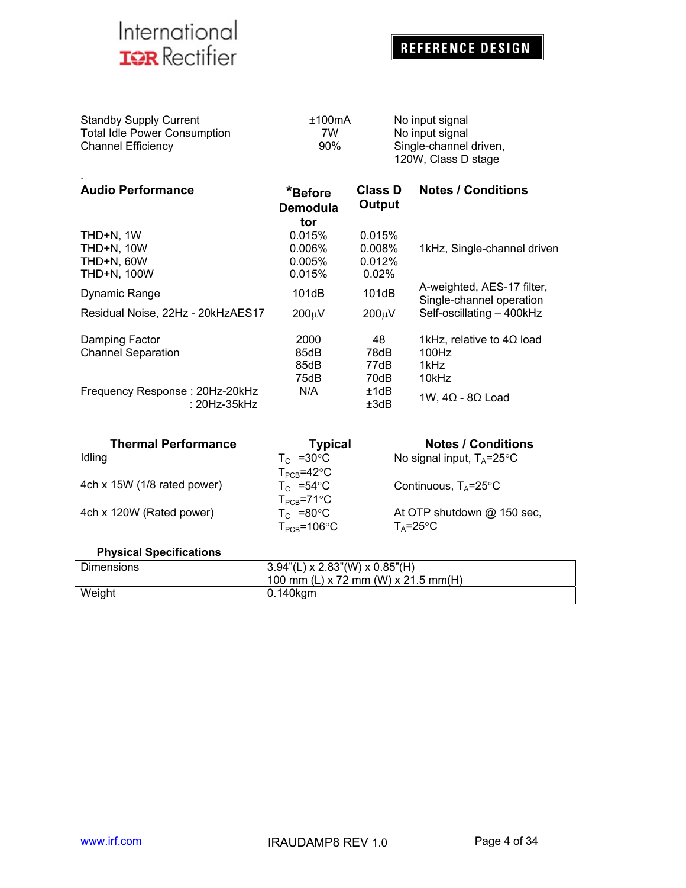.

## **REFERENCE DESIGN**

| <b>Standby Supply Current</b>       | ±100mA | No input signal                               |
|-------------------------------------|--------|-----------------------------------------------|
| <b>Total Idle Power Consumption</b> | 7W     | No input signal                               |
| Channel Efficiency                  | 90%    | Single-channel driven,<br>120W, Class D stage |
|                                     |        |                                               |

| <b>Audio Performance</b>                              | *Before<br><b>Demodula</b><br>tor | Class D<br>Output  | <b>Notes / Conditions</b>                              |
|-------------------------------------------------------|-----------------------------------|--------------------|--------------------------------------------------------|
|                                                       |                                   |                    |                                                        |
| THD+N, 1W                                             | 0.015%                            | 0.015%             |                                                        |
| <b>THD+N, 10W</b>                                     | $0.006\%$                         | 0.008%             | 1kHz, Single-channel driven                            |
| THD+N, 60W                                            | 0.005%                            | 0.012%             |                                                        |
| <b>THD+N, 100W</b>                                    | 0.015%                            | 0.02%              |                                                        |
| <b>Dynamic Range</b>                                  | 101dB                             | 101dB              | A-weighted, AES-17 filter,<br>Single-channel operation |
| Residual Noise, 22Hz - 20kHzAES17                     | 200 <sub>u</sub> V                | 200 <sub>µ</sub> V | Self-oscillating - 400kHz                              |
| Damping Factor                                        | 2000                              | 48                 | 1kHz, relative to $4\Omega$ load                       |
| <b>Channel Separation</b>                             | 85dB                              | 78dB               | 100Hz                                                  |
|                                                       | 85dB                              | 77dB               | 1kHz                                                   |
|                                                       | 75dB                              | 70dB               | 10kHz                                                  |
| Frequency Response: 20Hz-20kHz<br>$: 20$ Hz- $35$ kHz | N/A                               | ±1dB<br>±3dB       | 1W, $4\Omega$ - 8 $\Omega$ Load                        |

| <b>Thermal Performance</b>  | <b>Typical</b>           | <b>Notes / Conditions</b>            |
|-----------------------------|--------------------------|--------------------------------------|
| Idling                      | $T_c$ =30 $\degree$ C    | No signal input, $T_A = 25^{\circ}C$ |
|                             | $T_{PCB} = 42^{\circ}C$  |                                      |
| 4ch x 15W (1/8 rated power) | $T_c$ =54 °C             | Continuous, $T_A = 25^{\circ}C$      |
|                             | $T_{PCR} = 71^{\circ}C$  |                                      |
| 4ch x 120W (Rated power)    | $T_c$ =80 $\degree$ C    | At OTP shutdown @ 150 sec,           |
|                             | $T_{PCR} = 106^{\circ}C$ | $T_A = 25^{\circ}C$                  |

### **Physical Specifications**

| <b>Dimensions</b> | $3.94$ "(L) x 2.83"(W) x 0.85"(H)<br>100 mm (L) x 72 mm (W) x 21.5 mm(H) |
|-------------------|--------------------------------------------------------------------------|
| Weight            | 0.140kgm                                                                 |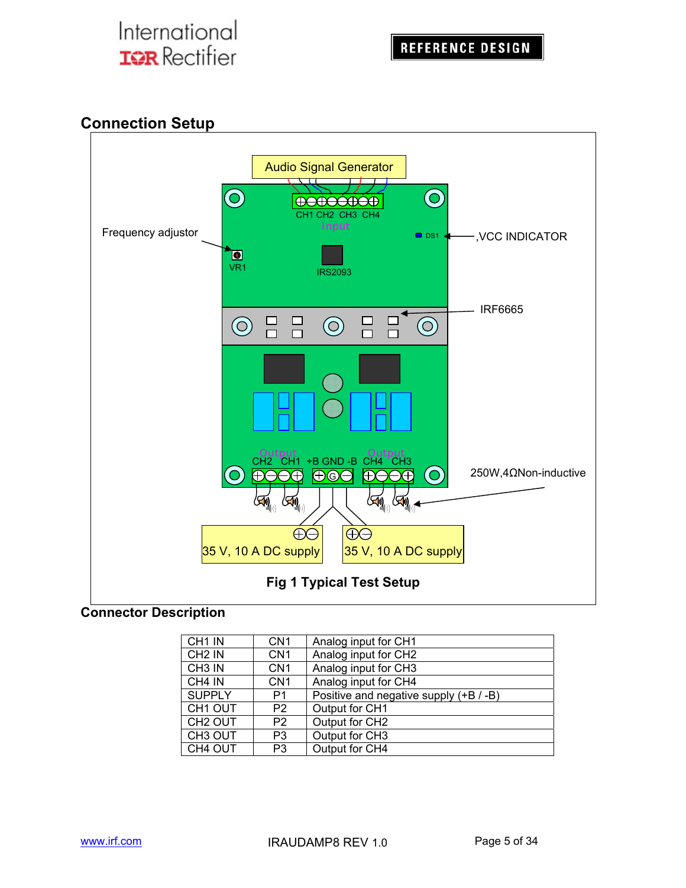## **Connection Setup**



### **Connector Description**

| CH1 IN              | CN <sub>1</sub> | Analog input for CH1                   |
|---------------------|-----------------|----------------------------------------|
| CH <sub>2</sub> IN  | CN <sub>1</sub> | Analog input for CH2                   |
| CH <sub>3</sub> IN  | CN <sub>1</sub> | Analog input for CH3                   |
| CH <sub>4</sub> IN  | CN <sub>1</sub> | Analog input for CH4                   |
| <b>SUPPLY</b>       | P1              | Positive and negative supply (+B / -B) |
| CH <sub>1</sub> OUT | P <sub>2</sub>  | Output for CH1                         |
| CH <sub>2</sub> OUT | P <sub>2</sub>  | Output for CH2                         |
| CH <sub>3</sub> OUT | P <sub>3</sub>  | Output for CH3                         |
| CH4 OUT             | P3              | Output for CH4                         |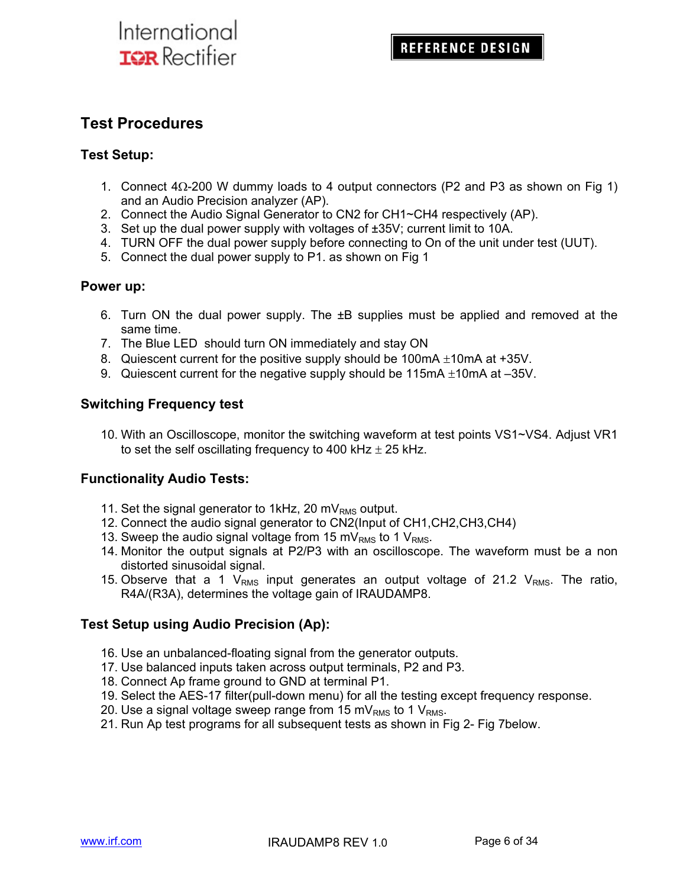### **Test Procedures**

#### **Test Setup:**

- 1. Connect  $4\Omega$ -200 W dummy loads to 4 output connectors (P2 and P3 as shown on Fig 1) and an Audio Precision analyzer (AP).
- 2. Connect the Audio Signal Generator to CN2 for CH1~CH4 respectively (AP).
- 3. Set up the dual power supply with voltages of ±35V; current limit to 10A.
- 4. TURN OFF the dual power supply before connecting to On of the unit under test (UUT).
- 5. Connect the dual power supply to P1. as shown on Fig 1

#### **Power up:**

- 6. Turn ON the dual power supply. The  $\pm B$  supplies must be applied and removed at the same time.
- 7. The Blue LED should turn ON immediately and stay ON
- 8. Quiescent current for the positive supply should be 100mA  $\pm$ 10mA at +35V.
- 9. Quiescent current for the negative supply should be 115mA  $\pm$ 10mA at –35V.

#### **Switching Frequency test**

10. With an Oscilloscope, monitor the switching waveform at test points VS1~VS4. Adjust VR1 to set the self oscillating frequency to 400 kHz  $\pm$  25 kHz.

#### **Functionality Audio Tests:**

- 11. Set the signal generator to 1kHz, 20 m $V_{RMS}$  output.
- 12. Connect the audio signal generator to CN2(Input of CH1,CH2,CH3,CH4)
- 13. Sweep the audio signal voltage from 15 mV<sub>RMS</sub> to 1 V<sub>RMS</sub>.
- 14. Monitor the output signals at P2/P3 with an oscilloscope. The waveform must be a non distorted sinusoidal signal.
- 15. Observe that a 1  $V_{RMS}$  input generates an output voltage of 21.2  $V_{RMS}$ . The ratio, R4A/(R3A), determines the voltage gain of IRAUDAMP8.

### **Test Setup using Audio Precision (Ap):**

- 16. Use an unbalanced-floating signal from the generator outputs.
- 17. Use balanced inputs taken across output terminals, P2 and P3.
- 18. Connect Ap frame ground to GND at terminal P1.
- 19. Select the AES-17 filter(pull-down menu) for all the testing except frequency response.
- 20. Use a signal voltage sweep range from 15 mV<sub>RMS</sub> to 1 V<sub>RMS</sub>.
- 21. Run Ap test programs for all subsequent tests as shown in Fig 2- Fig 7below.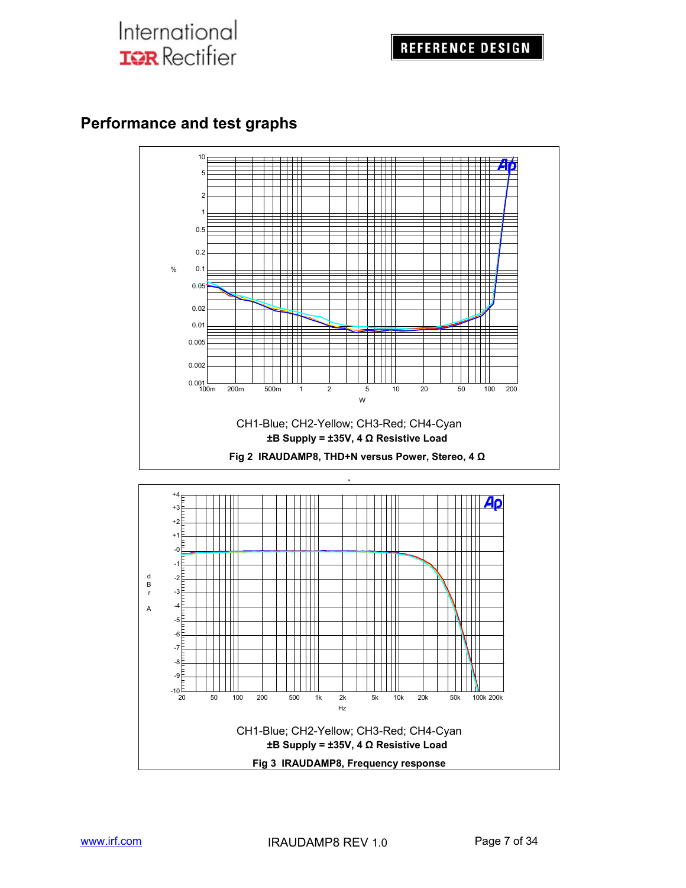## **Performance and test graphs**

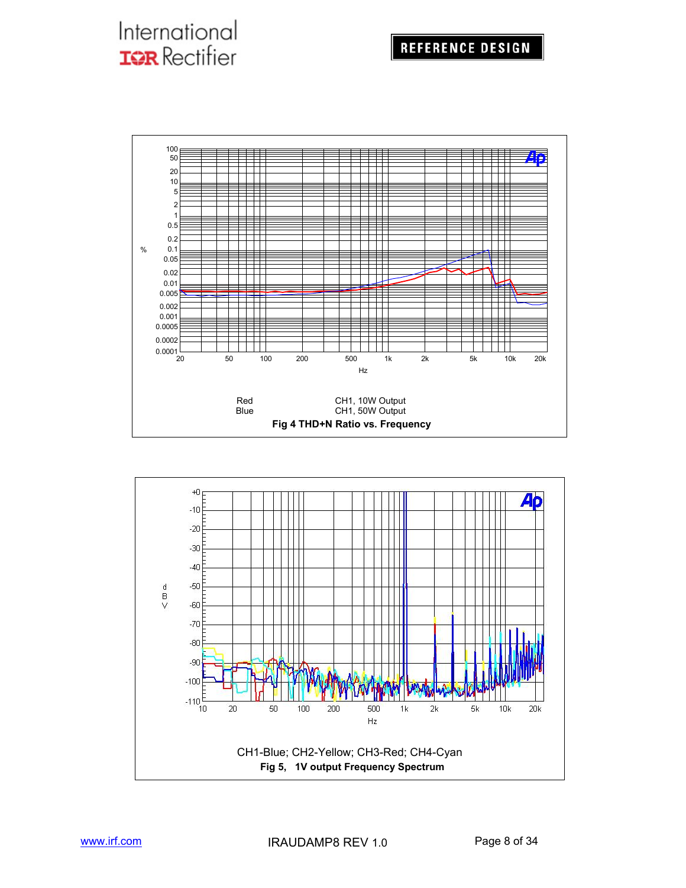

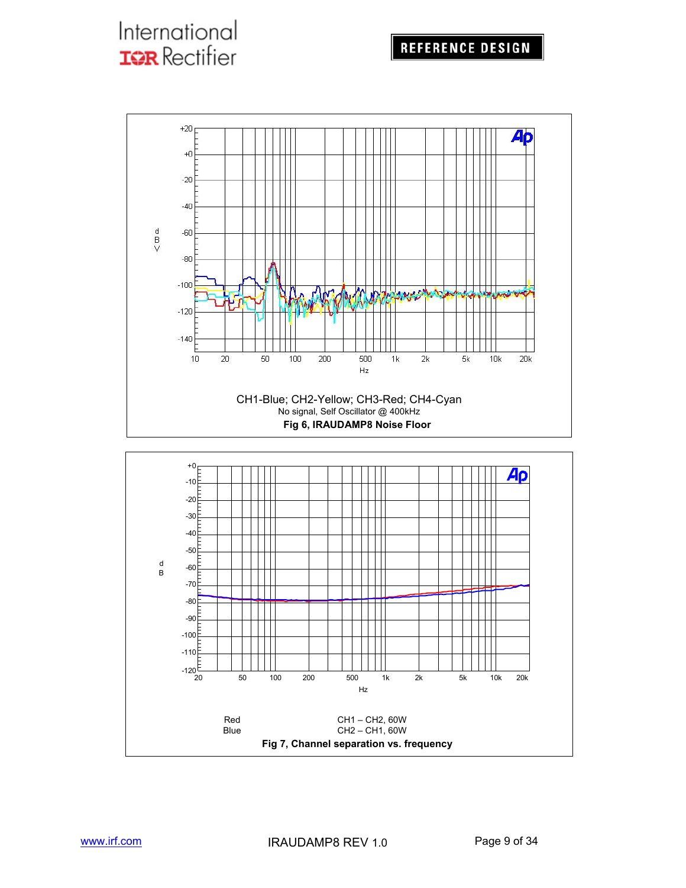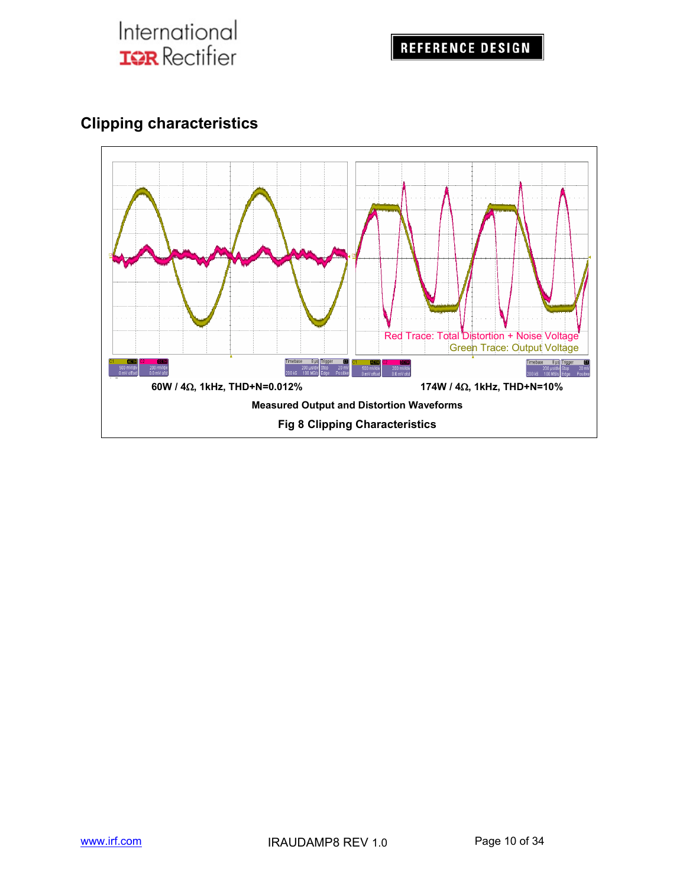

## **Clipping characteristics**

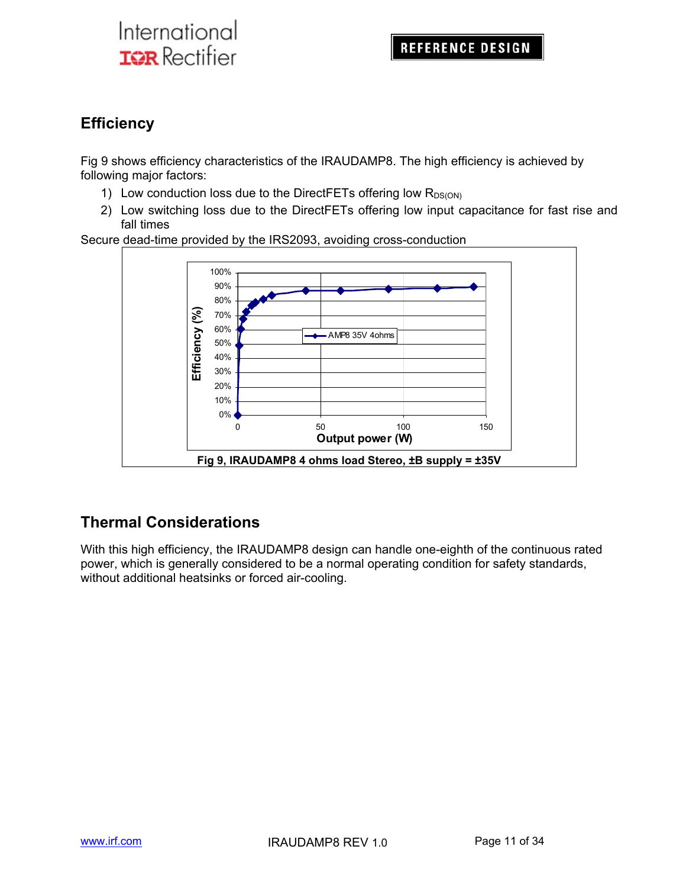## **Efficiency**

Fig 9 shows efficiency characteristics of the IRAUDAMP8. The high efficiency is achieved by following major factors:

- 1) Low conduction loss due to the DirectFETs offering low  $R_{DS(ON)}$
- 2) Low switching loss due to the DirectFETs offering low input capacitance for fast rise and fall times

Secure dead-time provided by the IRS2093, avoiding cross-conduction



## **Thermal Considerations**

With this high efficiency, the IRAUDAMP8 design can handle one-eighth of the continuous rated power, which is generally considered to be a normal operating condition for safety standards, without additional heatsinks or forced air-cooling.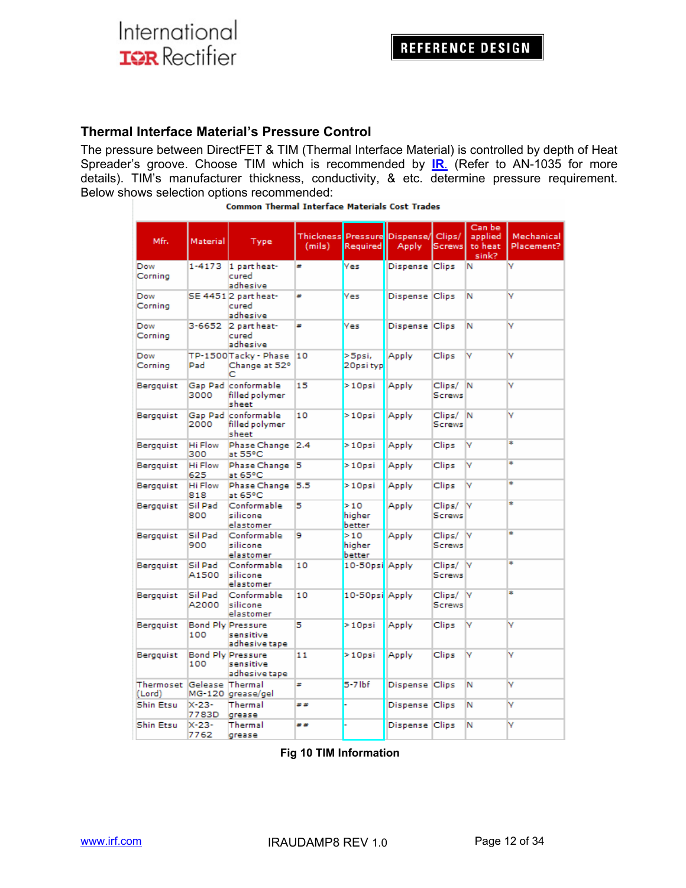#### **Thermal Interface Material's Pressure Control**

The pressure between DirectFET & TIM (Thermal Interface Material) is controlled by depth of Heat Spreader's groove. Choose TIM which is recommended by **IR.** (Refer to AN-1035 for more details). TIM's manufacturer thickness, conductivity, & etc. determine pressure requirement. Below shows selection options recommended:

| Mfr.                                | Material              | Type                                                   | (mils) | Required                | Thickness Pressure Dispense/ Clips/<br>Apply | <b>Screws</b>           | Can be<br>applied<br>to heat<br>sink? | Mechanical<br>Placement? |
|-------------------------------------|-----------------------|--------------------------------------------------------|--------|-------------------------|----------------------------------------------|-------------------------|---------------------------------------|--------------------------|
| Dow<br>Corning                      | 1-4173                | 1 part heat-<br>cured<br>adhesive                      | #      | <b>Yes</b>              | Dispense Clips                               |                         | N                                     | v                        |
| Dow<br>Corning                      |                       | SE 44512 part heat-<br>cured<br>adhesive               | ×      | Yes                     | Dispense Clips                               |                         | Ν                                     | v                        |
| Dow<br>Corning                      | 3-6652                | 2 part heat-<br>cured<br>adhesive                      | ×      | <b>Yes</b>              | Dispense Clips                               |                         | Ν                                     | v                        |
| Dow<br>Corning                      | Pad                   | TP-1500Tacky - Phase<br>Change at 52°<br>с             | 10     | >Spsi,<br>20psi typ     | Apply                                        | Clips                   | M                                     | v                        |
| Bergquist                           | 3000                  | Gap Pad conformable<br>filled polymer<br>sheet         | 15     | $>10$ psi               | Apply                                        | Clips/<br><b>Screws</b> | IN.                                   | ۷                        |
| Bergquist                           | 2000                  | Gap Pad conformable<br>filled polymer<br>sheet         | 10     | $>10$ psi               | Apply                                        | Clips/<br><b>Screws</b> | IN.                                   | v                        |
| Bergquist                           | <b>Hi Flow</b><br>300 | Phase Change 2.4<br>at 55°C                            |        | $>10$ psi               | Apply                                        | Clips                   | v                                     | ÷                        |
| Bergguist                           | Hi Flow<br>625        | Phase Change<br>at 65°C                                | 15     | $>10$ psi               | Apply                                        | Clips                   | v                                     | ÷                        |
| Bergquist                           | Hi Flow<br>818        | Phase Change<br>at 65°C                                | 5.5    | $>10$ psi               | Apply                                        | Clips                   | M                                     | ÷                        |
| Bergguist                           | Sil Pad<br>800        | Conformable<br>silicone<br>elastomer                   | 5      | >10<br>higher<br>better | Apply                                        | Clips/<br><b>Screws</b> | lv                                    | ÷                        |
| Bergquist                           | Sil Pad<br>900        | Conformable<br>silicone<br>elastomer                   | 9      | >10<br>higher<br>better | Apply                                        | Clips/<br><b>Screws</b> | <b>N</b>                              | ÷                        |
| Bergquist                           | Sil Pad<br>A1500      | Conformable<br>silicone<br>elastomer                   | 10     | 10-50psi Apply          |                                              | Clips/<br><b>Screws</b> | <b>N</b>                              | ÷                        |
| Bergguist                           | Sil Pad<br>A2000      | Conformable<br>silicone<br>elastomer                   | 10     | 10-50psi Apply          |                                              | Clips/<br>Screws        | N                                     | ÷                        |
| Bergguist                           | 100                   | <b>Bond Ply Pressure</b><br>sensitive<br>adhesive tape | 5      | $>10$ psi               | Apply                                        | Clips                   | M                                     | ٧                        |
| Bergquist                           | 100                   | <b>Bond Ply Pressure</b><br>sensitive<br>adhesive tape | 11     | $>10$ psi               | Apply                                        | Clips                   | ٧                                     | ٧                        |
| Thermoset Gelease Thermal<br>(Lord) |                       | MG-120 grease/gel                                      | ÷      | $5-7$ lbf               | Dispense Clips                               |                         | Ν                                     | v                        |
| Shin Etsu                           | $X - 23 -$<br>7783D   | Thermal<br>grease                                      | ##     |                         | Dispense Clips                               |                         | Ν                                     | v                        |
| Shin Etsu                           | $X - 23 -$<br>7762    | Thermal<br>grease                                      | ##     |                         | Dispense Clips                               |                         | Ν                                     | ۷                        |

|  | <b>Common Thermal Interface Materials Cost Trades</b> |  |  |
|--|-------------------------------------------------------|--|--|
|  |                                                       |  |  |

**Fig 10 TIM Information**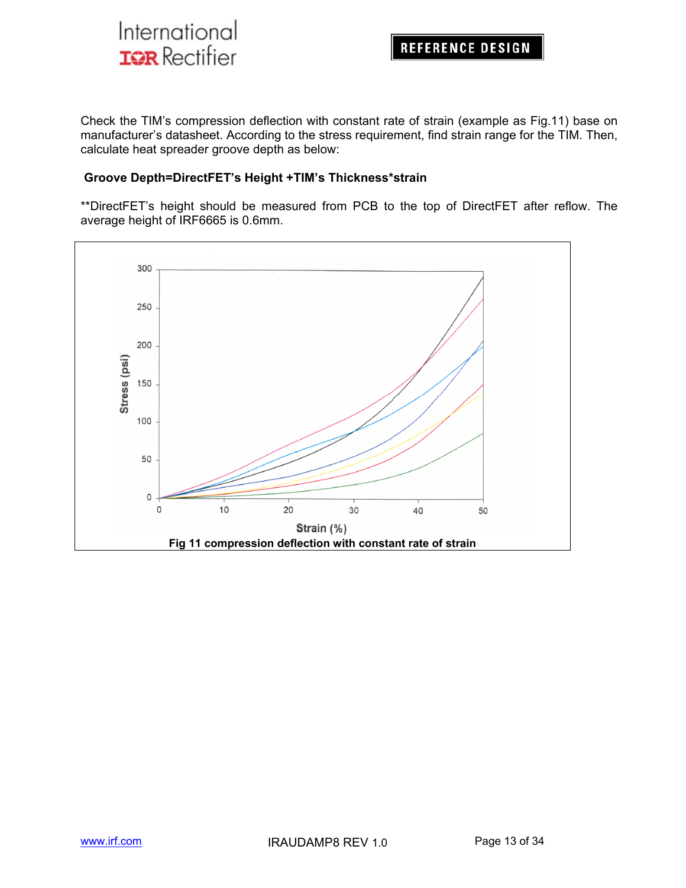

Check the TIM's compression deflection with constant rate of strain (example as Fig.11) base on manufacturer's datasheet. According to the stress requirement, find strain range for the TIM. Then, calculate heat spreader groove depth as below:

#### **Groove Depth=DirectFET's Height +TIM's Thickness\*strain**

\*\*DirectFET's height should be measured from PCB to the top of DirectFET after reflow. The average height of IRF6665 is 0.6mm.

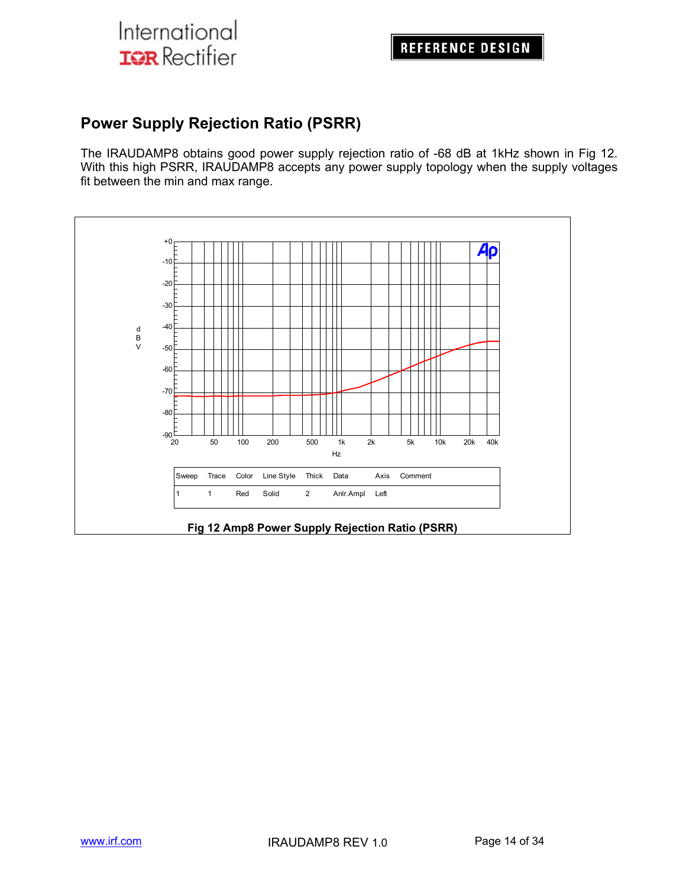## **Power Supply Rejection Ratio (PSRR)**

The IRAUDAMP8 obtains good power supply rejection ratio of -68 dB at 1kHz shown in Fig 12. With this high PSRR, IRAUDAMP8 accepts any power supply topology when the supply voltages fit between the min and max range.

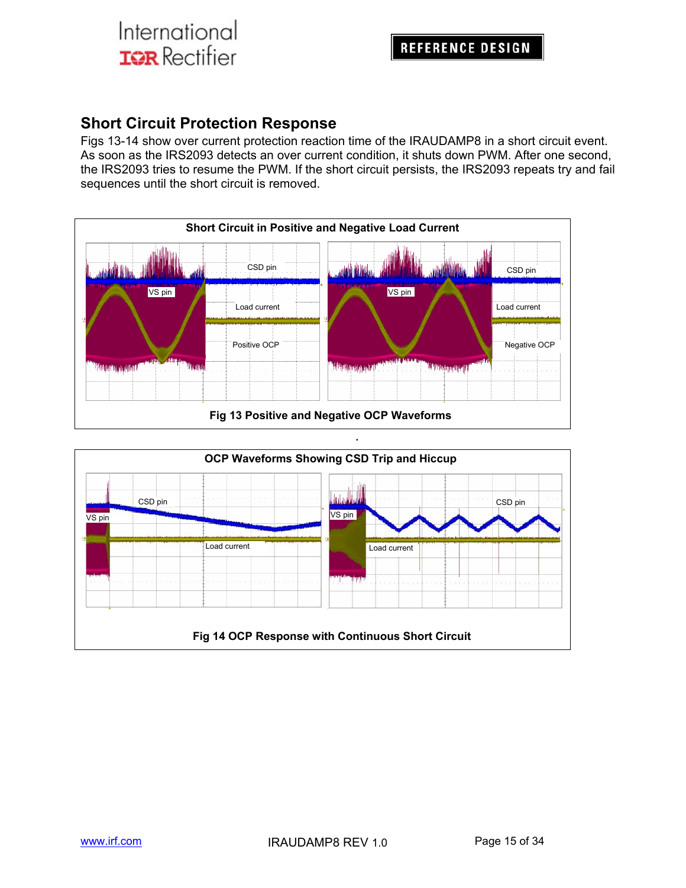## **Short Circuit Protection Response**

Figs 13-14 show over current protection reaction time of the IRAUDAMP8 in a short circuit event. As soon as the IRS2093 detects an over current condition, it shuts down PWM. After one second, the IRS2093 tries to resume the PWM. If the short circuit persists, the IRS2093 repeats try and fail sequences until the short circuit is removed.



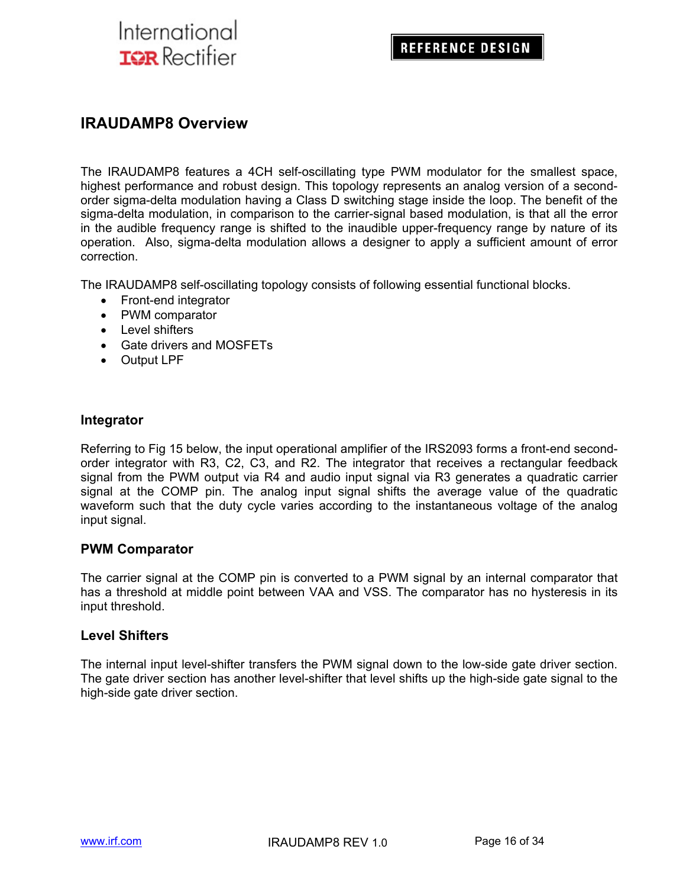### **IRAUDAMP8 Overview**

The IRAUDAMP8 features a 4CH self-oscillating type PWM modulator for the smallest space, highest performance and robust design. This topology represents an analog version of a secondorder sigma-delta modulation having a Class D switching stage inside the loop. The benefit of the sigma-delta modulation, in comparison to the carrier-signal based modulation, is that all the error in the audible frequency range is shifted to the inaudible upper-frequency range by nature of its operation. Also, sigma-delta modulation allows a designer to apply a sufficient amount of error correction.

The IRAUDAMP8 self-oscillating topology consists of following essential functional blocks.

- Front-end integrator
- PWM comparator
- Level shifters
- Gate drivers and MOSFETs
- Output LPF

#### **Integrator**

Referring to Fig 15 below, the input operational amplifier of the IRS2093 forms a front-end secondorder integrator with R3, C2, C3, and R2. The integrator that receives a rectangular feedback signal from the PWM output via R4 and audio input signal via R3 generates a quadratic carrier signal at the COMP pin. The analog input signal shifts the average value of the quadratic waveform such that the duty cycle varies according to the instantaneous voltage of the analog input signal.

#### **PWM Comparator**

The carrier signal at the COMP pin is converted to a PWM signal by an internal comparator that has a threshold at middle point between VAA and VSS. The comparator has no hysteresis in its input threshold.

#### **Level Shifters**

The internal input level-shifter transfers the PWM signal down to the low-side gate driver section. The gate driver section has another level-shifter that level shifts up the high-side gate signal to the high-side gate driver section.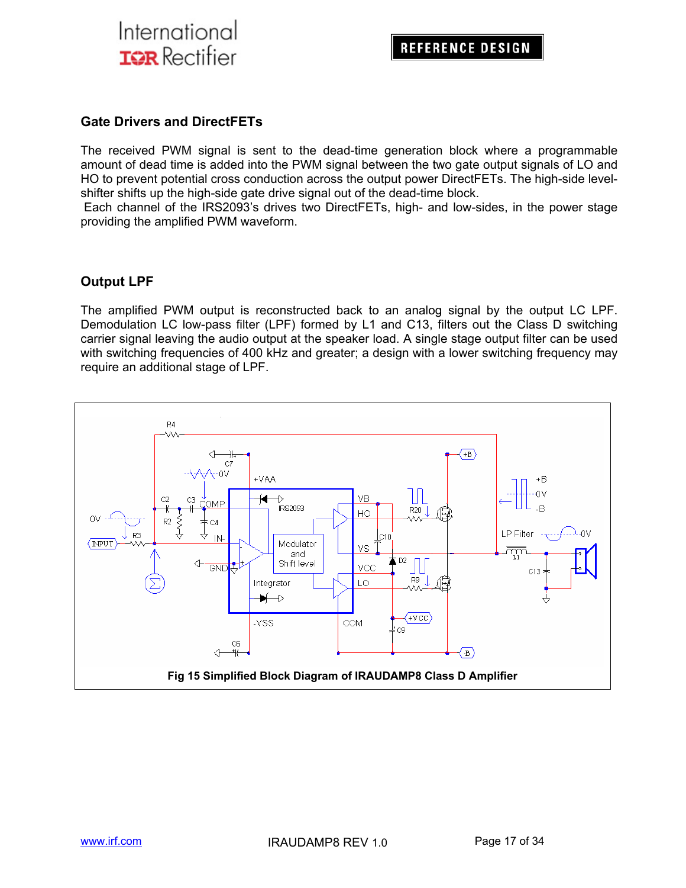

#### **Gate Drivers and DirectFETs**

The received PWM signal is sent to the dead-time generation block where a programmable amount of dead time is added into the PWM signal between the two gate output signals of LO and HO to prevent potential cross conduction across the output power DirectFETs. The high-side levelshifter shifts up the high-side gate drive signal out of the dead-time block.

 Each channel of the IRS2093's drives two DirectFETs, high- and low-sides, in the power stage providing the amplified PWM waveform.

#### **Output LPF**

The amplified PWM output is reconstructed back to an analog signal by the output LC LPF. Demodulation LC low-pass filter (LPF) formed by L1 and C13, filters out the Class D switching carrier signal leaving the audio output at the speaker load. A single stage output filter can be used with switching frequencies of 400 kHz and greater; a design with a lower switching frequency may require an additional stage of LPF.

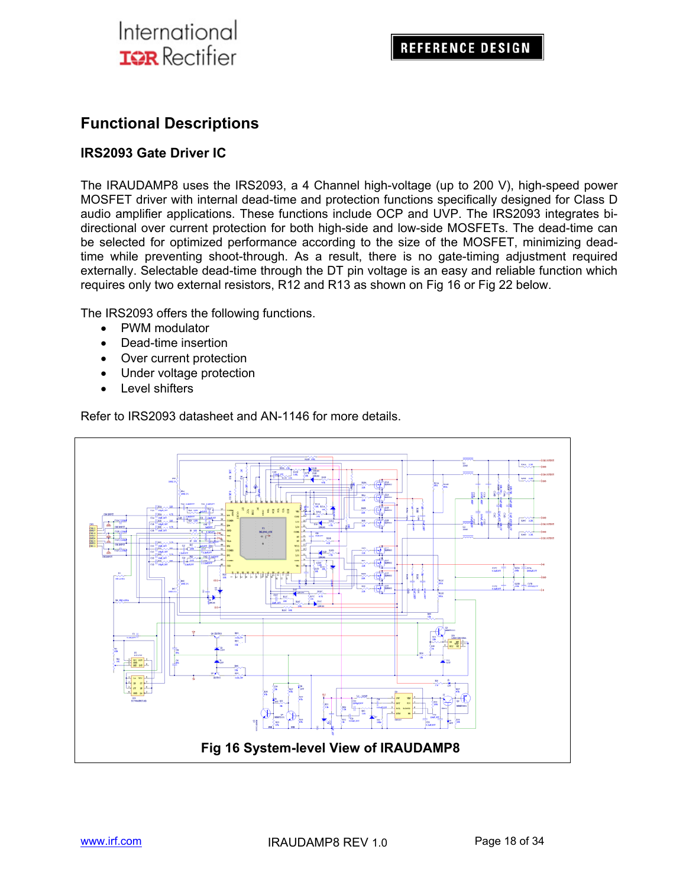## **Functional Descriptions**

#### **IRS2093 Gate Driver IC**

The IRAUDAMP8 uses the IRS2093, a 4 Channel high-voltage (up to 200 V), high-speed power MOSFET driver with internal dead-time and protection functions specifically designed for Class D audio amplifier applications. These functions include OCP and UVP. The IRS2093 integrates bidirectional over current protection for both high-side and low-side MOSFETs. The dead-time can be selected for optimized performance according to the size of the MOSFET, minimizing deadtime while preventing shoot-through. As a result, there is no gate-timing adjustment required externally. Selectable dead-time through the DT pin voltage is an easy and reliable function which requires only two external resistors, R12 and R13 as shown on Fig 16 or Fig 22 below.

The IRS2093 offers the following functions.

- PWM modulator
- Dead-time insertion
- Over current protection
- Under voltage protection
- Level shifters

Refer to IRS2093 datasheet and AN-1146 for more details.

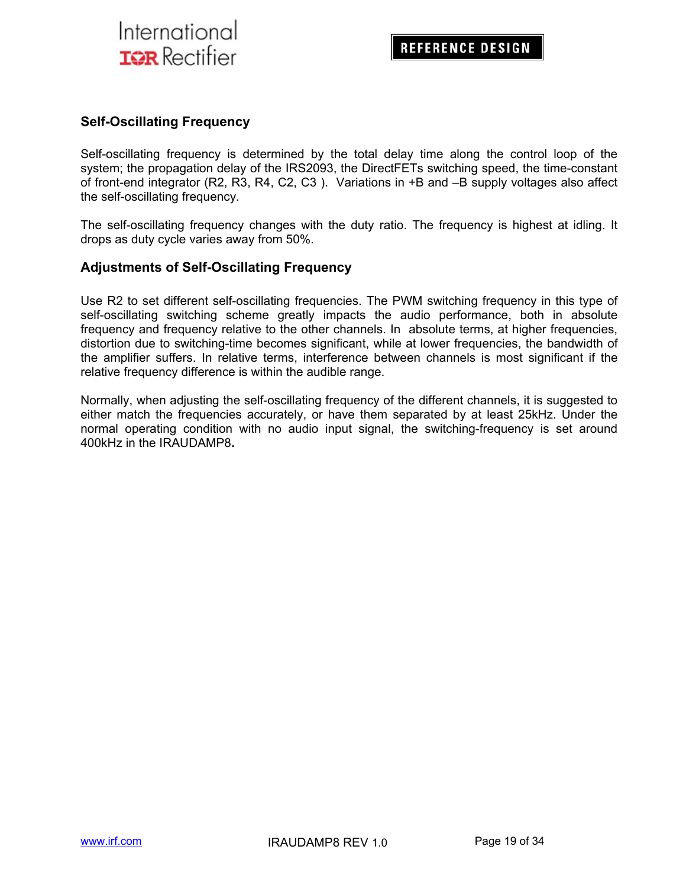#### **Self-Oscillating Frequency**

Self-oscillating frequency is determined by the total delay time along the control loop of the system; the propagation delay of the IRS2093, the DirectFETs switching speed, the time-constant of front-end integrator (R2, R3, R4, C2, C3 ). Variations in +B and –B supply voltages also affect the self-oscillating frequency.

The self-oscillating frequency changes with the duty ratio. The frequency is highest at idling. It drops as duty cycle varies away from 50%.

#### **Adjustments of Self-Oscillating Frequency**

Use R2 to set different self-oscillating frequencies. The PWM switching frequency in this type of self-oscillating switching scheme greatly impacts the audio performance, both in absolute frequency and frequency relative to the other channels. In absolute terms, at higher frequencies, distortion due to switching-time becomes significant, while at lower frequencies, the bandwidth of the amplifier suffers. In relative terms, interference between channels is most significant if the relative frequency difference is within the audible range.

Normally, when adjusting the self-oscillating frequency of the different channels, it is suggested to either match the frequencies accurately, or have them separated by at least 25kHz. Under the normal operating condition with no audio input signal, the switching-frequency is set around 400kHz in the IRAUDAMP8**.**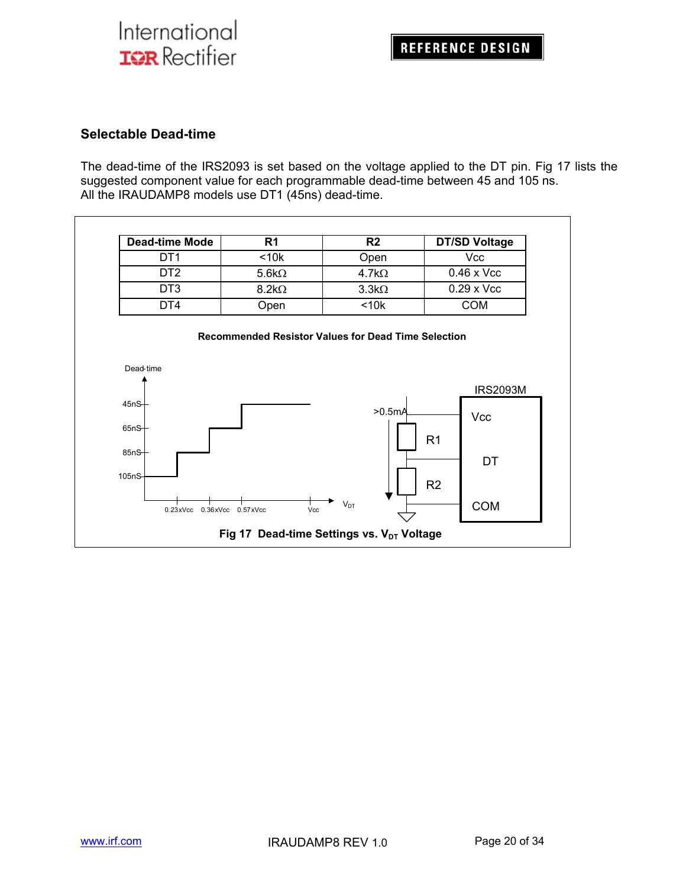### **Selectable Dead-time**

The dead-time of the IRS2093 is set based on the voltage applied to the DT pin. Fig 17 lists the suggested component value for each programmable dead-time between 45 and 105 ns. All the IRAUDAMP8 models use DT1 (45ns) dead-time.

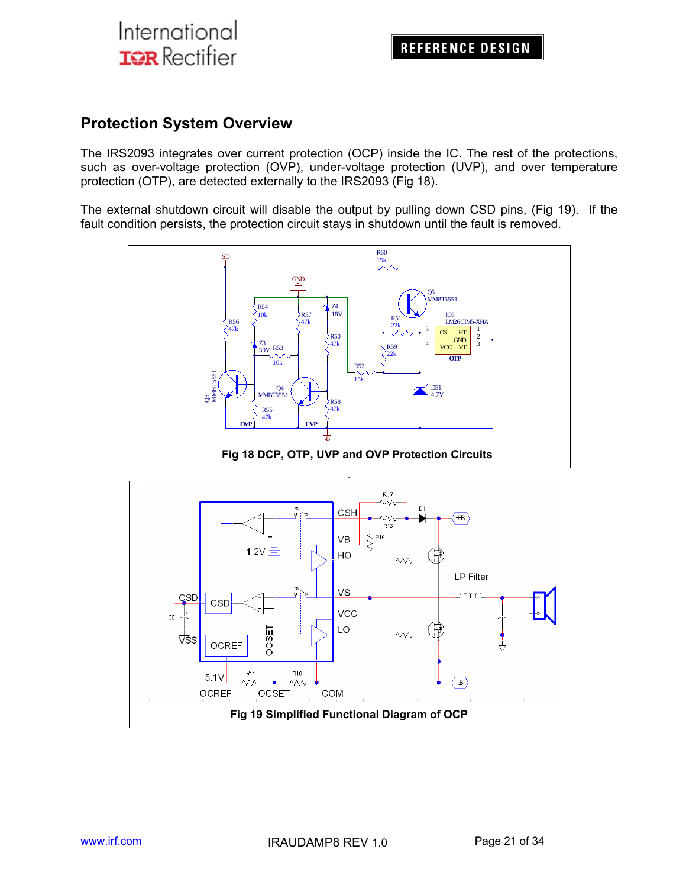### **Protection System Overview**

The IRS2093 integrates over current protection (OCP) inside the IC. The rest of the protections, such as over-voltage protection (OVP), under-voltage protection (UVP), and over temperature protection (OTP), are detected externally to the IRS2093 (Fig 18).

The external shutdown circuit will disable the output by pulling down CSD pins, (Fig 19). If the fault condition persists, the protection circuit stays in shutdown until the fault is removed.



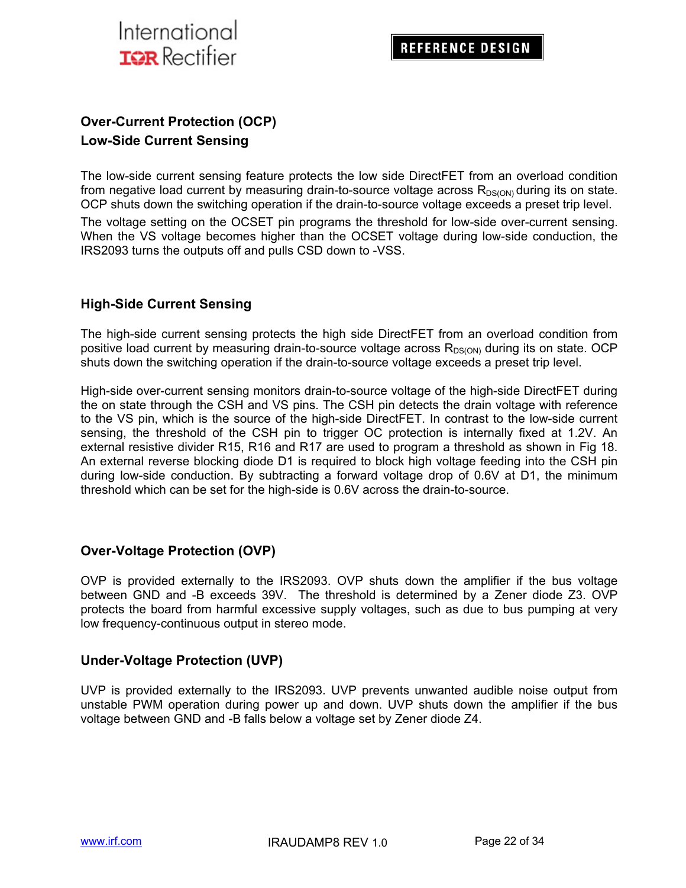

### **Over-Current Protection (OCP) Low-Side Current Sensing**

The low-side current sensing feature protects the low side DirectFET from an overload condition from negative load current by measuring drain-to-source voltage across  $R_{DS(ON)}$  during its on state. OCP shuts down the switching operation if the drain-to-source voltage exceeds a preset trip level.

The voltage setting on the OCSET pin programs the threshold for low-side over-current sensing. When the VS voltage becomes higher than the OCSET voltage during low-side conduction, the IRS2093 turns the outputs off and pulls CSD down to -VSS.

### **High-Side Current Sensing**

The high-side current sensing protects the high side DirectFET from an overload condition from positive load current by measuring drain-to-source voltage across  $R_{DS(ON)}$  during its on state. OCP shuts down the switching operation if the drain-to-source voltage exceeds a preset trip level.

High-side over-current sensing monitors drain-to-source voltage of the high-side DirectFET during the on state through the CSH and VS pins. The CSH pin detects the drain voltage with reference to the VS pin, which is the source of the high-side DirectFET. In contrast to the low-side current sensing, the threshold of the CSH pin to trigger OC protection is internally fixed at 1.2V. An external resistive divider R15, R16 and R17 are used to program a threshold as shown in Fig 18. An external reverse blocking diode D1 is required to block high voltage feeding into the CSH pin during low-side conduction. By subtracting a forward voltage drop of 0.6V at D1, the minimum threshold which can be set for the high-side is 0.6V across the drain-to-source.

### **Over-Voltage Protection (OVP)**

OVP is provided externally to the IRS2093. OVP shuts down the amplifier if the bus voltage between GND and -B exceeds 39V. The threshold is determined by a Zener diode Z3. OVP protects the board from harmful excessive supply voltages, such as due to bus pumping at very low frequency-continuous output in stereo mode.

#### **Under-Voltage Protection (UVP)**

UVP is provided externally to the IRS2093. UVP prevents unwanted audible noise output from unstable PWM operation during power up and down. UVP shuts down the amplifier if the bus voltage between GND and -B falls below a voltage set by Zener diode Z4.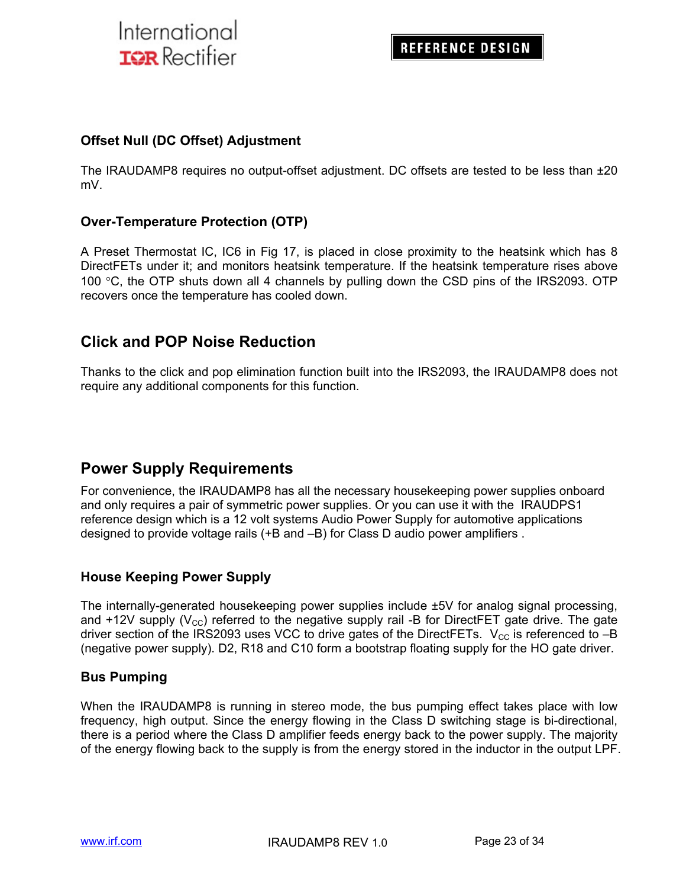### **Offset Null (DC Offset) Adjustment**

The IRAUDAMP8 requires no output-offset adjustment. DC offsets are tested to be less than ±20 mV.

#### **Over-Temperature Protection (OTP)**

A Preset Thermostat IC, IC6 in Fig 17, is placed in close proximity to the heatsink which has 8 DirectFETs under it; and monitors heatsink temperature. If the heatsink temperature rises above 100  $\degree$ C, the OTP shuts down all 4 channels by pulling down the CSD pins of the IRS2093. OTP recovers once the temperature has cooled down.

### **Click and POP Noise Reduction**

Thanks to the click and pop elimination function built into the IRS2093, the IRAUDAMP8 does not require any additional components for this function.

### **Power Supply Requirements**

For convenience, the IRAUDAMP8 has all the necessary housekeeping power supplies onboard and only requires a pair of symmetric power supplies. Or you can use it with the IRAUDPS1 reference design which is a 12 volt systems Audio Power Supply for automotive applications designed to provide voltage rails (+B and –B) for Class D audio power amplifiers .

### **House Keeping Power Supply**

The internally-generated housekeeping power supplies include ±5V for analog signal processing, and +12V supply  $(V_{\text{cc}})$  referred to the negative supply rail -B for DirectFET gate drive. The gate driver section of the IRS2093 uses VCC to drive gates of the DirectFETs.  $V_{CC}$  is referenced to -B (negative power supply). D2, R18 and C10 form a bootstrap floating supply for the HO gate driver.

#### **Bus Pumping**

When the IRAUDAMP8 is running in stereo mode, the bus pumping effect takes place with low frequency, high output. Since the energy flowing in the Class D switching stage is bi-directional, there is a period where the Class D amplifier feeds energy back to the power supply. The majority of the energy flowing back to the supply is from the energy stored in the inductor in the output LPF.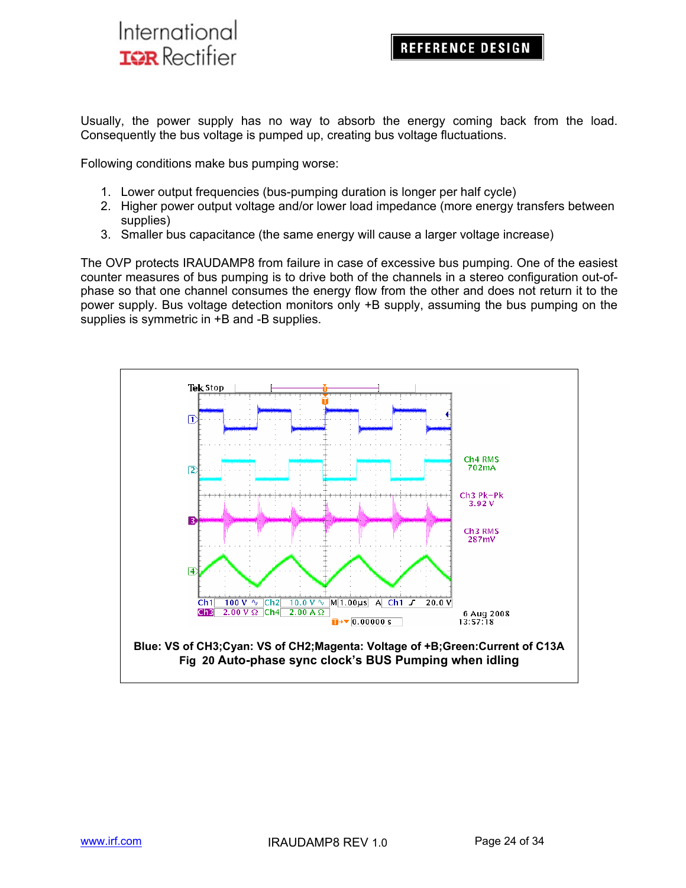Usually, the power supply has no way to absorb the energy coming back from the load. Consequently the bus voltage is pumped up, creating bus voltage fluctuations.

Following conditions make bus pumping worse:

- 1. Lower output frequencies (bus-pumping duration is longer per half cycle)
- 2. Higher power output voltage and/or lower load impedance (more energy transfers between supplies)
- 3. Smaller bus capacitance (the same energy will cause a larger voltage increase)

The OVP protects IRAUDAMP8 from failure in case of excessive bus pumping. One of the easiest counter measures of bus pumping is to drive both of the channels in a stereo configuration out-ofphase so that one channel consumes the energy flow from the other and does not return it to the power supply. Bus voltage detection monitors only +B supply, assuming the bus pumping on the supplies is symmetric in  $+B$  and -B supplies.

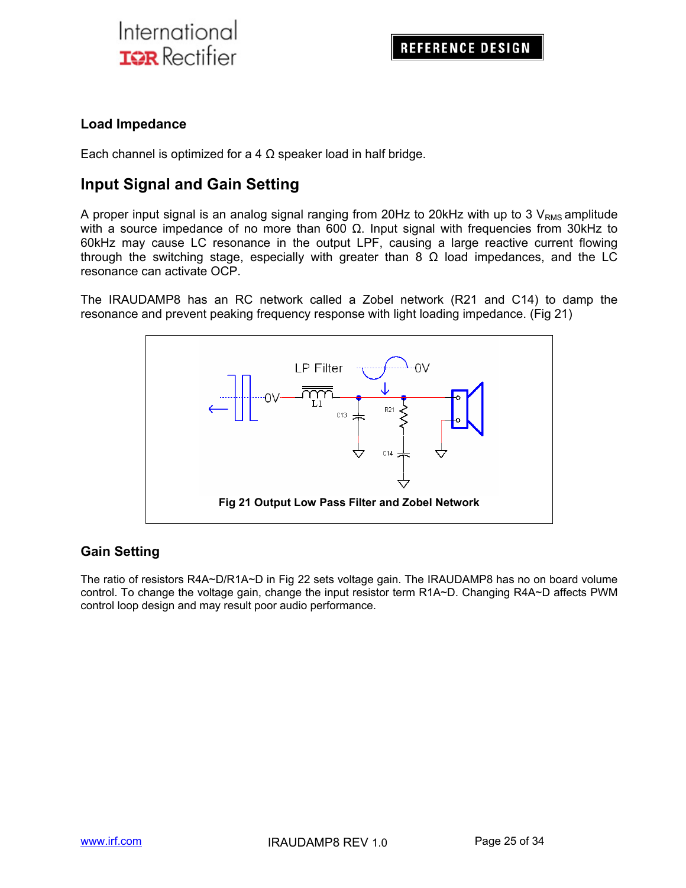### **Load Impedance**

Each channel is optimized for a 4  $\Omega$  speaker load in half bridge.

### **Input Signal and Gain Setting**

A proper input signal is an analog signal ranging from 20Hz to 20kHz with up to 3  $V_{RMS}$  amplitude with a source impedance of no more than 600  $Ω$ . Input signal with frequencies from 30kHz to 60kHz may cause LC resonance in the output LPF, causing a large reactive current flowing through the switching stage, especially with greater than 8  $\Omega$  load impedances, and the LC resonance can activate OCP.

The IRAUDAMP8 has an RC network called a Zobel network (R21 and C14) to damp the resonance and prevent peaking frequency response with light loading impedance. (Fig 21)



### **Gain Setting**

The ratio of resistors R4A~D/R1A~D in Fig 22 sets voltage gain. The IRAUDAMP8 has no on board volume control. To change the voltage gain, change the input resistor term R1A~D. Changing R4A~D affects PWM control loop design and may result poor audio performance.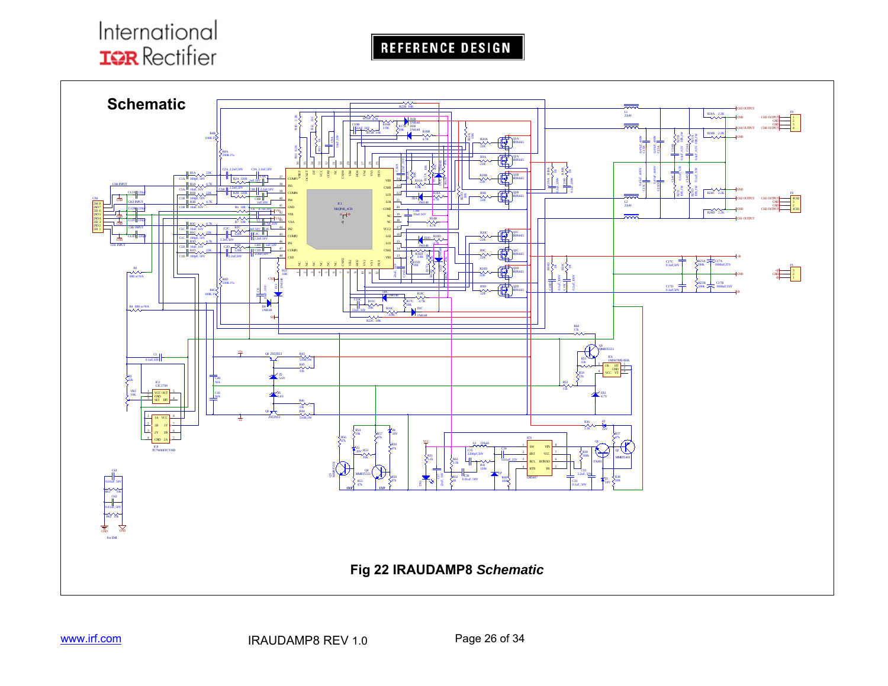

REFERENCE DESIGN

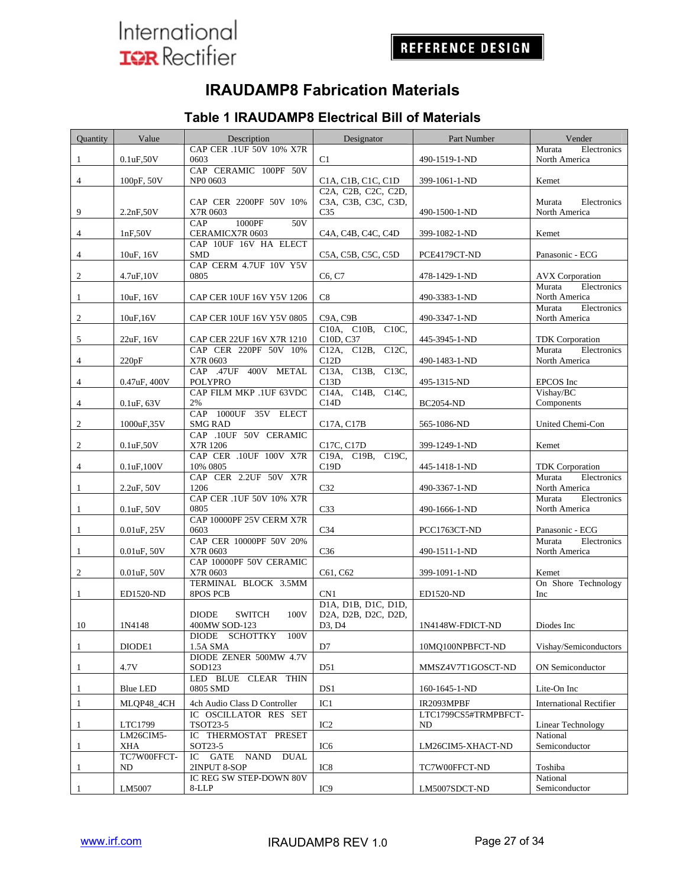## **IRAUDAMP8 Fabrication Materials**

#### Quantity Value Description I Designator Part Number Vender 0.1uF,50V CAP CER .1UF 50V 10% X7R C1 490-1519-1-ND Murata Electronics North America 4 100pF, 50V CAP CERAMIC 100PF 50V NP0 0603 C1A, C1B, C1C, C1D 399-1061-1-ND Kemet 9 2.2nF,50V CAP CER 2200PF 50V 10% X7R 0603 C2A, C2B, C2C, C2D, C3A, C3B, C3C, C3D, C35 490-1500-1-ND Murata Electronics North America 4 1nF,50V CAP 1000PF 50V<br>CERAMICX7R 0603 C4A, C4B, C4C, C4D 399-1082-1-ND Kemet 4 10uF, 16V CAP 10UF 16V HA ELECT SMD C5A, C5B, C5C, C5D PCE4179CT-ND Panasonic - ECG 2 4.7uF,10V CAP CERM 4.7UF 10V Y5V C6, C7 478-1429-1-ND AVX Corporation 1 10uF, 16V CAP CER 10UF 16V Y5V 1206 C8 490-3383-1-ND Murata Electronics North America 2 10uF,16V CAP CER 10UF 16V Y5V 0805 C9A, C9B 490-3347-1-ND Murata Electronics North America 5 22uF, 16V CAP CER 22UF 16V X7R 1210 C10A, C10B, C10C, C10D, C37 445-3945-1-ND TDK Corporation<br>C12A, C12B, C12C, Murata Electronics 4 220pF CAP CER 220PF 50V 10% X7R 0603 C12A, C12B, C12C, C12D 490-1483-1-ND Murata North America 4 0.47uF, 400V CAP .47UF 400V METAL POLYPRO C13A, C13B, C13C, C13D 495-1315-ND EPCOS Inc 4 0.1uF, 63V CAP FILM MKP .1UF 63VDC 2% C14A, C14B, C14C, C14D BC2054-ND Vishay/BC Components 2 1000uF,35V CAP 1000UF 35V ELECT SMG RAD C17A, C17B 565-1086-ND United Chemi-Con 2 0.1uF,50V CAP .10UF 50V CERAMIC X7R 1206 C17C, C17D 399-1249-1-ND Kemet 4 0.1uF,100V CAP CER .10UF 100V X7R 10% 0805 C19A, C19B, C19C, 445-1418-1-ND TDK Corporation 2.2uF, 50V CAP CER 2.2UF 50V X7R 1206 C32 490-3367-1-ND Murata Electronics North America 0.1uF, 50V CAP CER .1UF 50V 10% X7R 0805 C33 490-1666-1-ND Murata Electronics North America 0.01uF, 25V CAP 10000PF 25V CERM X7R 0603 C34 PCC1763CT-ND Panasonic - ECG 1 0.01uF, 50V CAP CER 10000PF 50V 20% X7R 0603 C36 490-1511-1-ND Murata Electronics North America 2 0.01uF, 50V CAP 10000PF 50V CERAMIC<br>X7R 0603 C61, C62 399-1091-1-ND Kemet 1 ED1520-ND TERMINAL BLOCK 3.5MM 8POS PCB CN1 ED1520-ND On Shore Technology Inc 10 1N4148 DIODE SWITCH 100V 400MW SOD-123 D1A, D1B, D1C, D1D, D2A, D2B, D2C, D2D, D3, D4 1N4148W-FDICT-ND Diodes Inc 1 DIODE1 DIODE SCHOTTKY 100V<br>1.5A SMA D7 10MQ100NPBFCT-ND Vishay/Semiconductors 1 4.7V DIODE ZENER 500MW 4.7V SOD123 **D51** D51 MMSZ4V7T1GOSCT-ND ON Semiconductor Blue LED LED BLUE CLEAR THIN 0805 SMD DS1 160-1645-1-ND Lite-On Inc 1 MLQP48\_4CH 4ch Audio Class D Controller IC1 IR2093MPBF International Rectifier 1 LTC1799 IC OSCILLATOR RES SET TSOT23-5 IC2 LTC1799CS5#TRMPBFCT-ND Linear Technology 1 LM26CIM5- XHA IC THERMOSTAT PRESET SOT23-5 IC6 LM26CIM5-XHACT-ND National Semiconductor TC7W00FFCT-IC GATE NAND DUAL

### **Table 1 IRAUDAMP8 Electrical Bill of Materials**

1 LM5007

ND

1

IC REG SW STEP-DOWN 80V<br>8-LLP

2INPUT 8-SOP IC8 IC8 TC7W00FFCT-ND Toshiba

IC9 LM5007SDCT-ND

National Semiconductor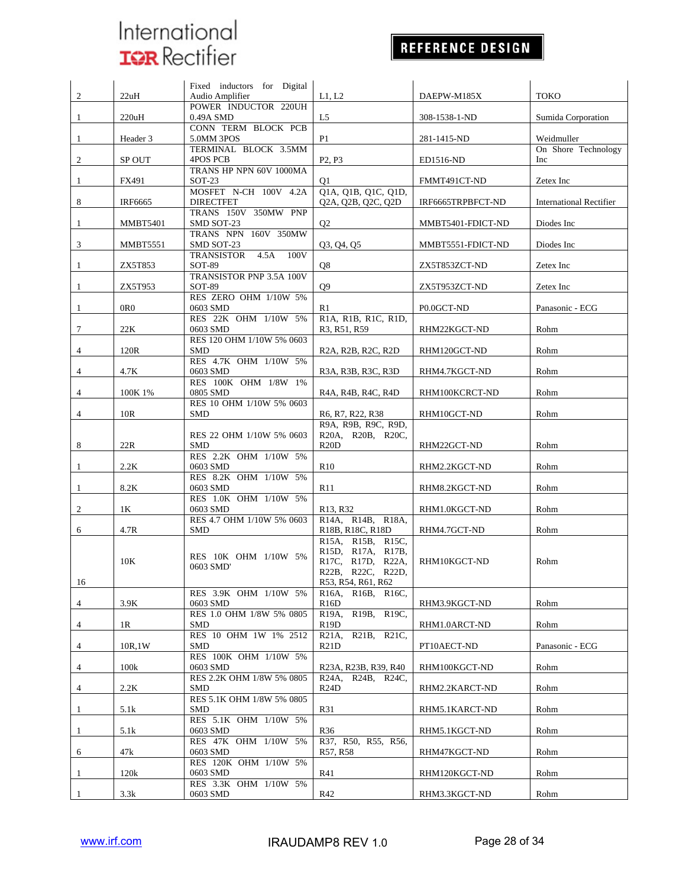## REFERENCE DESIGN

|                |                  | Fixed inductors for Digital                     |                                                   |                         |                                |
|----------------|------------------|-------------------------------------------------|---------------------------------------------------|-------------------------|--------------------------------|
| 2              | 22uH             | Audio Amplifier                                 | L1, L2                                            | DAEPW-M185X             | <b>TOKO</b>                    |
|                |                  | POWER INDUCTOR 220UH                            |                                                   |                         |                                |
| 1              | 220uH            | 0.49A SMD<br>CONN TERM BLOCK PCB                | L5                                                | 308-1538-1-ND           | Sumida Corporation             |
| $\mathbf{1}$   | Header 3         | 5.0MM 3POS                                      | P <sub>1</sub>                                    | 281-1415-ND             | Weidmuller                     |
|                |                  | TERMINAL BLOCK 3.5MM                            |                                                   |                         | On Shore Technology            |
| 2              | SP OUT           | 4POS PCB                                        | P <sub>2</sub> , P <sub>3</sub>                   | ED1516-ND               | Inc                            |
|                |                  | TRANS HP NPN 60V 1000MA                         |                                                   |                         |                                |
| 1              | FX491            | $SOT-23$                                        | Q1                                                | FMMT491CT-ND            | Zetex Inc                      |
|                |                  | MOSFET N-CH 100V 4.2A                           | Q1A, Q1B, Q1C, Q1D,                               |                         |                                |
| 8              | IRF6665          | <b>DIRECTFET</b>                                | Q2A, Q2B, Q2C, Q2D                                | IRF6665TRPBFCT-ND       | <b>International Rectifier</b> |
|                |                  | TRANS 150V 350MW PNP                            |                                                   |                         |                                |
| 1              | MMBT5401         | SMD SOT-23                                      | Q <sub>2</sub>                                    | MMBT5401-FDICT-ND       | Diodes Inc                     |
|                |                  | TRANS NPN 160V 350MW                            |                                                   |                         |                                |
| 3              | MMBT5551         | SMD SOT-23<br>4.5A<br><b>TRANSISTOR</b><br>100V | Q3, Q4, Q5                                        | MMBT5551-FDICT-ND       | Diodes Inc                     |
| 1              | ZX5T853          | SOT-89                                          | Q8                                                | ZX5T853ZCT-ND           | Zetex Inc                      |
|                |                  | TRANSISTOR PNP 3.5A 100V                        |                                                   |                         |                                |
| 1              | ZX5T953          | SOT-89                                          | Q <sub>9</sub>                                    | ZX5T953ZCT-ND           | Zetex Inc                      |
|                |                  | RES ZERO OHM 1/10W 5%                           |                                                   |                         |                                |
| 1              | 0 <sub>R</sub> 0 | 0603 SMD                                        | R1                                                | P <sub>0.0</sub> GCT-ND | Panasonic - ECG                |
|                |                  | RES 22K OHM 1/10W 5%                            | R1A, R1B, R1C, R1D,                               |                         |                                |
| 7              | 22K              | 0603 SMD                                        | R3, R51, R59                                      | RHM22KGCT-ND            | Rohm                           |
|                |                  | RES 120 OHM 1/10W 5% 0603                       |                                                   |                         |                                |
| 4              | 120R             | <b>SMD</b>                                      | R2A, R2B, R2C, R2D                                | RHM120GCT-ND            | Rohm                           |
| $\overline{4}$ | 4.7K             | RES 4.7K OHM 1/10W 5%<br>0603 SMD               | R3A, R3B, R3C, R3D                                |                         | Rohm                           |
|                |                  | RES 100K OHM 1/8W 1%                            |                                                   | RHM4.7KGCT-ND           |                                |
| 4              | 100K 1%          | 0805 SMD                                        | R4A, R4B, R4C, R4D                                | RHM100KCRCT-ND          | Rohm                           |
|                |                  | RES 10 OHM 1/10W 5% 0603                        |                                                   |                         |                                |
| 4              | 10R              | <b>SMD</b>                                      | R6, R7, R22, R38                                  | RHM10GCT-ND             | Rohm                           |
|                |                  |                                                 | R9A, R9B, R9C, R9D,                               |                         |                                |
|                |                  | RES 22 OHM 1/10W 5% 0603                        | R20A, R20B, R20C,                                 |                         |                                |
| 8              | 22R              | <b>SMD</b>                                      | R20D                                              | RHM22GCT-ND             | Rohm                           |
|                |                  | RES 2.2K OHM 1/10W 5%                           |                                                   |                         |                                |
| 1              | 2.2K             | 0603 SMD                                        | R10                                               | RHM2.2KGCT-ND           | Rohm                           |
|                |                  | RES 8.2K OHM 1/10W 5%                           |                                                   |                         |                                |
| $\mathbf{1}$   | 8.2K             | 0603 SMD<br>RES 1.0K OHM 1/10W 5%               | R11                                               | RHM8.2KGCT-ND           | Rohm                           |
| 2              | 1K               | 0603 SMD                                        | R <sub>13</sub> , R <sub>32</sub>                 | RHM1.0KGCT-ND           | Rohm                           |
|                |                  | RES 4.7 OHM 1/10W 5% 0603                       | R14A, R14B, R18A,                                 |                         |                                |
| 6              | 4.7R             | <b>SMD</b>                                      | R18B, R18C, R18D                                  | RHM4.7GCT-ND            | Rohm                           |
|                |                  |                                                 | R15A, R15B, R15C,                                 |                         |                                |
|                |                  | RES 10K OHM 1/10W 5%                            | R15D, R17A, R17B,                                 |                         |                                |
|                | 10K              | 0603 SMD'                                       | R17C, R17D, R22A,                                 | RHM10KGCT-ND            | Rohm                           |
|                |                  |                                                 | R22B, R22C, R22D,                                 |                         |                                |
| 16             |                  | RES 3.9K OHM 1/10W 5%                           | R53, R54, R61, R62                                |                         |                                |
|                | 3.9K             | 0603 SMD                                        | R16B, R16C,<br>R <sub>16</sub> A,<br>R16D         | RHM3.9KGCT-ND           | Rohm                           |
| 4              |                  | RES 1.0 OHM 1/8W 5% 0805                        | R19B, R19C,<br>R19A,                              |                         |                                |
| 4              | 1R               | <b>SMD</b>                                      | R <sub>19</sub> D                                 | RHM1.0ARCT-ND           | Rohm                           |
|                |                  | RES 10 OHM 1W 1% 2512                           | R <sub>21</sub> B, R <sub>21</sub> C,<br>$R21A$ , |                         |                                |
| 4              | 10R,1W           | <b>SMD</b>                                      | R21D                                              | PT10AECT-ND             | Panasonic - ECG                |
|                |                  | RES 100K OHM 1/10W 5%                           |                                                   |                         |                                |
| 4              | 100k             | 0603 SMD                                        | R23A, R23B, R39, R40                              | RHM100KGCT-ND           | Rohm                           |
|                |                  | RES 2.2K OHM 1/8W 5% 0805                       | R24B, R24C.<br>R24A,                              |                         |                                |
| 4              | 2.2K             | SMD                                             | R24D                                              | RHM2.2KARCT-ND          | Rohm                           |
|                |                  | RES 5.1K OHM 1/8W 5% 0805                       |                                                   |                         |                                |
| 1              | 5.1k             | <b>SMD</b><br>RES 5.1K OHM 1/10W 5%             | R31                                               | RHM5.1KARCT-ND          | Rohm                           |
| $\mathbf{1}$   | 5.1k             | 0603 SMD                                        | R <sub>36</sub>                                   | RHM5.1KGCT-ND           | Rohm                           |
|                |                  | RES 47K OHM 1/10W 5%                            | R37, R50, R55, R56,                               |                         |                                |
| 6              | 47k              | 0603 SMD                                        | R57, R58                                          | RHM47KGCT-ND            | Rohm                           |
|                |                  | RES 120K OHM 1/10W 5%                           |                                                   |                         |                                |
| $\mathbf{1}$   | 120k             | 0603 SMD                                        | R41                                               | RHM120KGCT-ND           | Rohm                           |
|                |                  | RES 3.3K OHM 1/10W 5%                           |                                                   |                         |                                |
| $\mathbf{1}$   | 3.3k             | 0603 SMD                                        | R42                                               | RHM3.3KGCT-ND           | Rohm                           |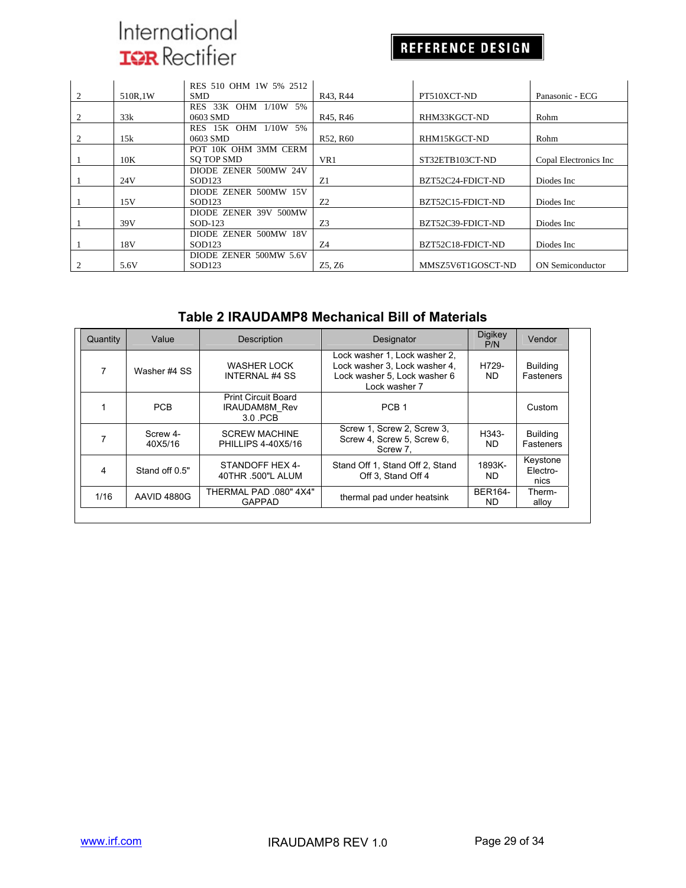## REFERENCE DESIGN

|   |         | RES 510 OHM 1W 5% 2512 |                                   |                   |                         |
|---|---------|------------------------|-----------------------------------|-------------------|-------------------------|
| 2 | 510R.1W | <b>SMD</b>             | R43, R44                          | PT510XCT-ND       | Panasonic - ECG         |
|   |         | RES 33K OHM 1/10W 5%   |                                   |                   |                         |
|   | 33k     | 0603 SMD               | R <sub>45</sub> , R <sub>46</sub> | RHM33KGCT-ND      | Rohm                    |
|   |         | RES 15K OHM 1/10W 5%   |                                   |                   |                         |
|   | 15k     | 0603 SMD               | R52, R60                          | RHM15KGCT-ND      | Rohm                    |
|   |         | POT 10K OHM 3MM CERM   |                                   |                   |                         |
|   | 10K     | SO TOP SMD             | VR1                               | ST32ETB103CT-ND   | Copal Electronics Inc   |
|   |         | DIODE ZENER 500MW 24V  |                                   |                   |                         |
|   | 24V     | SOD123                 | Z1                                | BZT52C24-FDICT-ND | Diodes Inc              |
|   |         | DIODE ZENER 500MW 15V  |                                   |                   |                         |
|   | 15V     | SOD123                 | 7.2                               | BZT52C15-FDICT-ND | Diodes Inc              |
|   |         | DIODE ZENER 39V 500MW  |                                   |                   |                         |
|   | 39V     | SOD-123                | Z3                                | BZT52C39-FDICT-ND | Diodes Inc              |
|   |         | DIODE ZENER 500MW 18V  |                                   |                   |                         |
|   | 18V     | SOD <sub>123</sub>     | Z4                                | BZT52C18-FDICT-ND | Diodes Inc              |
|   |         | DIODE ZENER 500MW 5.6V |                                   |                   |                         |
|   | 5.6V    | SOD123                 | Z5, Z6                            | MMSZ5V6T1GOSCT-ND | <b>ON</b> Semiconductor |

### **Table 2 IRAUDAMP8 Mechanical Bill of Materials**

| Quantity | Value               | <b>Description</b>                                            | Designator                                                                                                      | <b>Digikey</b><br>P/N | Vendor                       |
|----------|---------------------|---------------------------------------------------------------|-----------------------------------------------------------------------------------------------------------------|-----------------------|------------------------------|
| 7        | Washer #4 SS        | WASHER LOCK<br><b>INTERNAL #4 SS</b>                          | Lock washer 1, Lock washer 2,<br>Lock washer 3, Lock washer 4,<br>Lock washer 5, Lock washer 6<br>Lock washer 7 | H729-<br>ND.          | <b>Building</b><br>Fasteners |
|          | <b>PCB</b>          | <b>Print Circuit Board</b><br><b>IRAUDAM8M Rev</b><br>3.0 PCB | PCB <sub>1</sub>                                                                                                |                       | Custom                       |
|          | Screw 4-<br>40X5/16 | <b>SCREW MACHINE</b><br>PHILLIPS 4-40X5/16                    | Screw 1, Screw 2, Screw 3,<br>Screw 4, Screw 5, Screw 6,<br>Screw 7.                                            | H343-<br>ND.          | <b>Building</b><br>Fasteners |
| 4        | Stand off 0.5"      | STANDOFF HEX 4-<br>40THR .500"L ALUM                          | Stand Off 1, Stand Off 2, Stand<br>Off 3. Stand Off 4                                                           | 1893K-<br>ND.         | Keystone<br>Electro-<br>nics |
| 1/16     | AAVID 4880G         | THERMAL PAD .080" 4X4"<br><b>GAPPAD</b>                       | thermal pad under heatsink                                                                                      | <b>BER164-</b><br>ND. | Therm-<br>alloy              |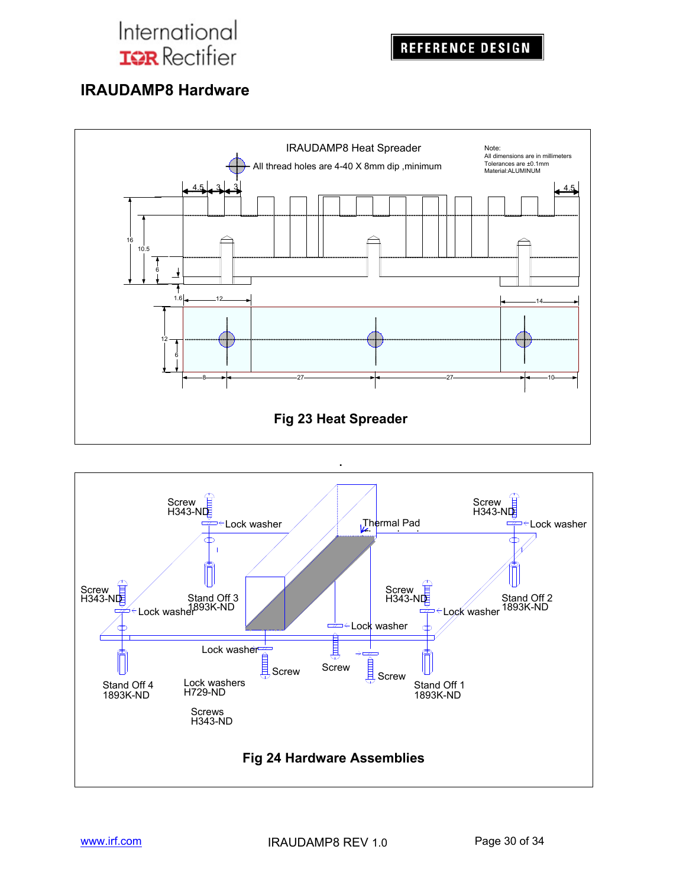## **IRAUDAMP8 Hardware**



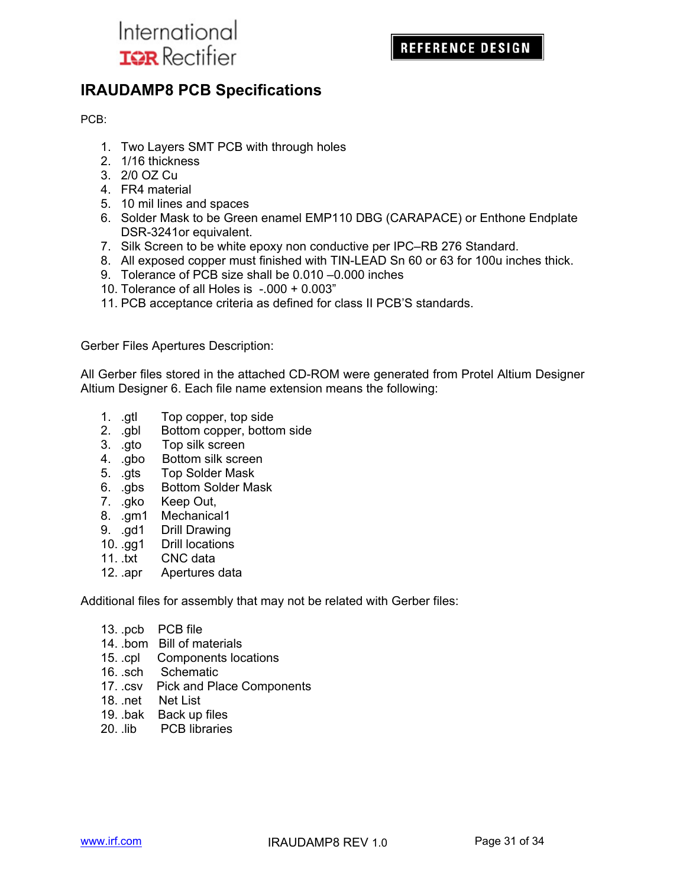

## **IRAUDAMP8 PCB Specifications**

PCB:

- 1. Two Layers SMT PCB with through holes
- 2. 1/16 thickness
- 3. 2/0 OZ Cu
- 4. FR4 material
- 5. 10 mil lines and spaces
- 6. Solder Mask to be Green enamel EMP110 DBG (CARAPACE) or Enthone Endplate DSR-3241or equivalent.
- 7. Silk Screen to be white epoxy non conductive per IPC–RB 276 Standard.
- 8. All exposed copper must finished with TIN-LEAD Sn 60 or 63 for 100u inches thick.
- 9. Tolerance of PCB size shall be 0.010 –0.000 inches
- 10. Tolerance of all Holes is -.000 + 0.003"
- 11. PCB acceptance criteria as defined for class II PCB'S standards.

Gerber Files Apertures Description:

All Gerber files stored in the attached CD-ROM were generated from Protel Altium Designer Altium Designer 6. Each file name extension means the following:

- 1. .gtl Top copper, top side
- 2. .gbl Bottom copper, bottom side
- 3. .gto Top silk screen
- 4. .gbo Bottom silk screen
- 5. .gts Top Solder Mask
- 6. .gbs Bottom Solder Mask
- 7. .gko Keep Out,
- 8. .gm1 Mechanical1
- 9. .gd1 Drill Drawing
- 10. .gg1 Drill locations
- 11. .txt CNC data
- 12. .apr Apertures data

Additional files for assembly that may not be related with Gerber files:

- 13. .pcb PCB file
- 14. .bom Bill of materials
- 15. .cpl Components locations
- 16. .sch Schematic
- 17. .csv Pick and Place Components
- 18. .net Net List
- 19. .bak Back up files
- 20. .lib PCB libraries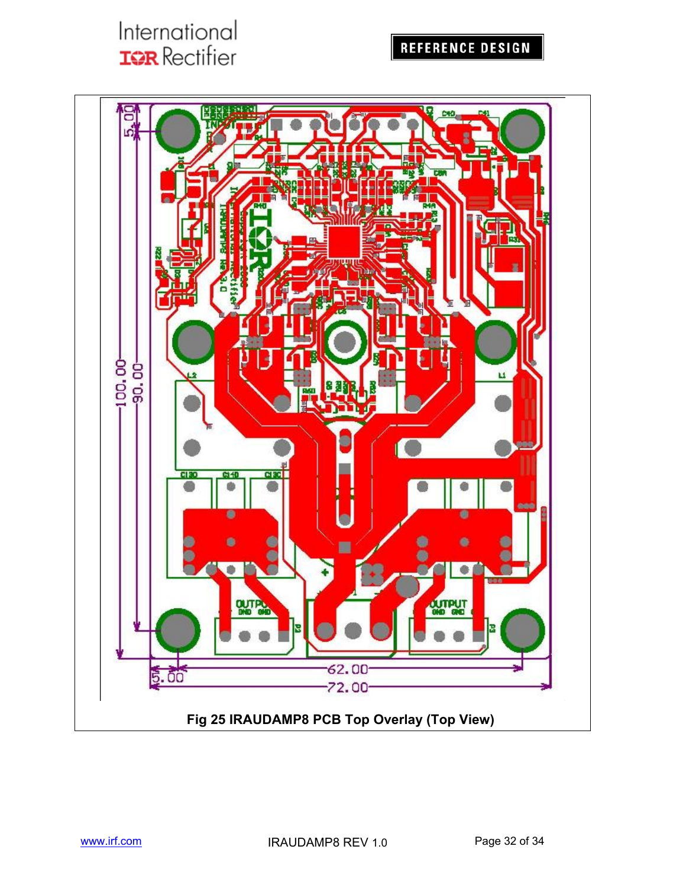## REFERENCE DESIGN

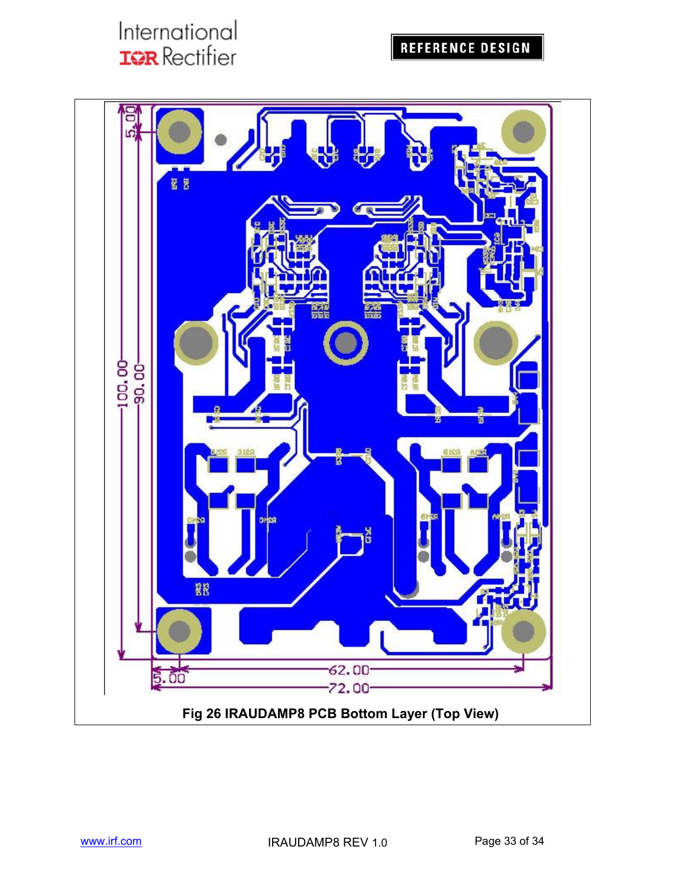## REFERENCE DESIGN